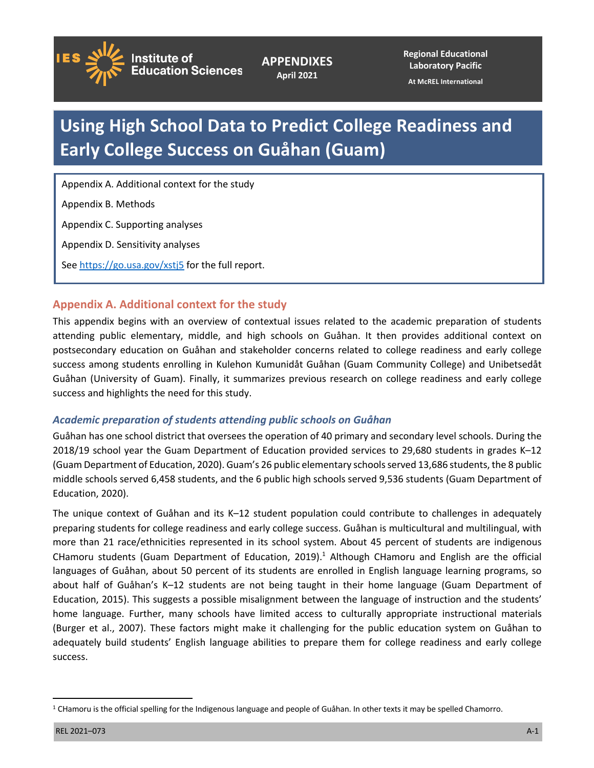

**APPENDIXES April 2021**

**Regional Educational Laboratory Pacific**

**At McREL International**

# **Using High School Data to Predict College Readiness and Early College Success on Guåhan (Guam)**

Appendix A. Additional context for the study

Appendix B. Methods

Appendix C. Supporting analyses

Appendix D. Sensitivity analyses

See<https://go.usa.gov/xstj5> for the full report.

# **Appendix A. Additional context for the study**

This appendix begins with an overview of contextual issues related to the academic preparation of students attending public elementary, middle, and high schools on Guåhan. It then provides additional context on postsecondary education on Guåhan and stakeholder concerns related to college readiness and early college success among students enrolling in Kulehon Kumunidåt Guåhan (Guam Community College) and Unibetsedåt Guåhan (University of Guam). Finally, it summarizes previous research on college readiness and early college success and highlights the need for this study.

## *Academic preparation of students attending public schools on Guåhan*

Guåhan has one school district that oversees the operation of 40 primary and secondary level schools. During the 2018/19 school year the Guam Department of Education provided services to 29,680 students in grades K–12 (Guam Department of Education, 2020). Guam's 26 public elementary schools served 13,686 students, the 8 public middle schools served 6,458 students, and the 6 public high schools served 9,536 students (Guam Department of Education, 2020).

The unique context of Guåhan and its K–12 student population could contribute to challenges in adequately preparing students for college readiness and early college success. Guåhan is multicultural and multilingual, with more than 21 race/ethnicities represented in its school system. About 45 percent of students are indigenous CHamoru students (Guam Department of Education, 2019).<sup>1</sup> Although CHamoru and English are the official languages of Guåhan, about 50 percent of its students are enrolled in English language learning programs, so about half of Guåhan's K–12 students are not being taught in their home language (Guam Department of Education, 2015). This suggests a possible misalignment between the language of instruction and the students' home language. Further, many schools have limited access to culturally appropriate instructional materials (Burger et al., 2007). These factors might make it challenging for the public education system on Guåhan to adequately build students' English language abilities to prepare them for college readiness and early college success.

<sup>&</sup>lt;sup>1</sup> CHamoru is the official spelling for the Indigenous language and people of Guåhan. In other texts it may be spelled Chamorro.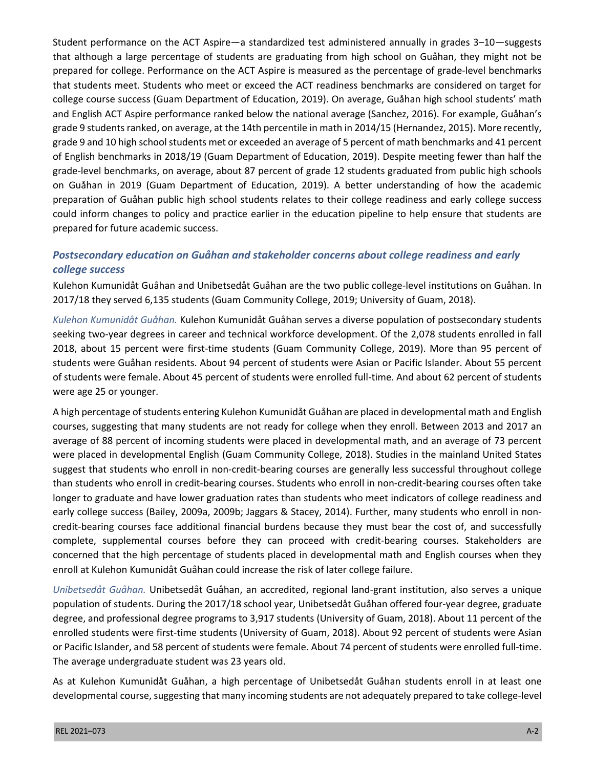Student performance on the ACT Aspire—a standardized test administered annually in grades 3–10—suggests that although a large percentage of students are graduating from high school on Guåhan, they might not be prepared for college. Performance on the ACT Aspire is measured as the percentage of grade-level benchmarks that students meet. Students who meet or exceed the ACT readiness benchmarks are considered on target for college course success (Guam Department of Education, 2019). On average, Guåhan high school students' math and English ACT Aspire performance ranked below the national average (Sanchez, 2016). For example, Guåhan's grade 9 students ranked, on average, at the 14th percentile in math in 2014/15 (Hernandez, 2015). More recently, grade 9 and 10 high school students met or exceeded an average of 5 percent of math benchmarks and 41 percent of English benchmarks in 2018/19 (Guam Department of Education, 2019). Despite meeting fewer than half the grade-level benchmarks, on average, about 87 percent of grade 12 students graduated from public high schools on Guåhan in 2019 (Guam Department of Education, 2019). A better understanding of how the academic preparation of Guåhan public high school students relates to their college readiness and early college success could inform changes to policy and practice earlier in the education pipeline to help ensure that students are prepared for future academic success.

# *Postsecondary education on Guåhan and stakeholder concerns about college readiness and early college success*

Kulehon Kumunidåt Guåhan and Unibetsedåt Guåhan are the two public college-level institutions on Guåhan. In 2017/18 they served 6,135 students (Guam Community College, 2019; University of Guam, 2018).

*Kulehon Kumunidåt Guåhan.* Kulehon Kumunidåt Guåhan serves a diverse population of postsecondary students seeking two-year degrees in career and technical workforce development. Of the 2,078 students enrolled in fall 2018, about 15 percent were first-time students (Guam Community College, 2019). More than 95 percent of students were Guåhan residents. About 94 percent of students were Asian or Pacific Islander. About 55 percent of students were female. About 45 percent of students were enrolled full-time. And about 62 percent of students were age 25 or younger.

A high percentage of students entering Kulehon Kumunidåt Guåhan are placed in developmental math and English courses, suggesting that many students are not ready for college when they enroll. Between 2013 and 2017 an average of 88 percent of incoming students were placed in developmental math, and an average of 73 percent were placed in developmental English (Guam Community College, 2018). Studies in the mainland United States suggest that students who enroll in non-credit-bearing courses are generally less successful throughout college than students who enroll in credit-bearing courses. Students who enroll in non-credit-bearing courses often take longer to graduate and have lower graduation rates than students who meet indicators of college readiness and early college success (Bailey, 2009a, 2009b; Jaggars & Stacey, 2014). Further, many students who enroll in noncredit-bearing courses face additional financial burdens because they must bear the cost of, and successfully complete, supplemental courses before they can proceed with credit-bearing courses. Stakeholders are concerned that the high percentage of students placed in developmental math and English courses when they enroll at Kulehon Kumunidåt Guåhan could increase the risk of later college failure.

*Unibetsedåt Guåhan.* Unibetsedåt Guåhan, an accredited, regional land-grant institution, also serves a unique population of students. During the 2017/18 school year, Unibetsedåt Guåhan offered four-year degree, graduate degree, and professional degree programs to 3,917 students (University of Guam, 2018). About 11 percent of the enrolled students were first-time students (University of Guam, 2018). About 92 percent of students were Asian or Pacific Islander, and 58 percent of students were female. About 74 percent of students were enrolled full-time. The average undergraduate student was 23 years old.

As at Kulehon Kumunidåt Guåhan, a high percentage of Unibetsedåt Guåhan students enroll in at least one developmental course, suggesting that many incoming students are not adequately prepared to take college-level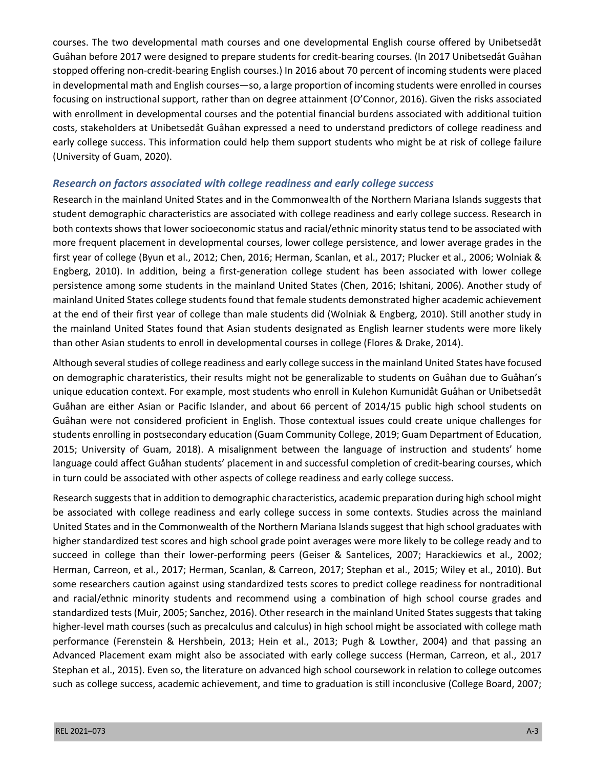courses. The two developmental math courses and one developmental English course offered by Unibetsedåt Guåhan before 2017 were designed to prepare students for credit-bearing courses. (In 2017 Unibetsedåt Guåhan stopped offering non-credit-bearing English courses.) In 2016 about 70 percent of incoming students were placed in developmental math and English courses—so, a large proportion of incoming students were enrolled in courses focusing on instructional support, rather than on degree attainment (O'Connor, 2016). Given the risks associated with enrollment in developmental courses and the potential financial burdens associated with additional tuition costs, stakeholders at Unibetsedåt Guåhan expressed a need to understand predictors of college readiness and early college success. This information could help them support students who might be at risk of college failure (University of Guam, 2020).

### *Research on factors associated with college readiness and early college success*

Research in the mainland United States and in the Commonwealth of the Northern Mariana Islands suggests that student demographic characteristics are associated with college readiness and early college success. Research in both contexts shows that lower socioeconomic status and racial/ethnic minority status tend to be associated with more frequent placement in developmental courses, lower college persistence, and lower average grades in the first year of college (Byun et al., 2012; Chen, 2016; Herman, Scanlan, et al., 2017; Plucker et al., 2006; Wolniak & Engberg, 2010). In addition, being a first-generation college student has been associated with lower college persistence among some students in the mainland United States (Chen, 2016; Ishitani, 2006). Another study of mainland United States college students found that female students demonstrated higher academic achievement at the end of their first year of college than male students did (Wolniak & Engberg, 2010). Still another study in the mainland United States found that Asian students designated as English learner students were more likely than other Asian students to enroll in developmental courses in college (Flores & Drake, 2014).

Although several studies of college readiness and early college success in the mainland United States have focused on demographic charateristics, their results might not be generalizable to students on Guåhan due to Guåhan's unique education context. For example, most students who enroll in Kulehon Kumunidåt Guåhan or Unibetsedåt Guåhan are either Asian or Pacific Islander, and about 66 percent of 2014/15 public high school students on Guåhan were not considered proficient in English. Those contextual issues could create unique challenges for students enrolling in postsecondary education (Guam Community College, 2019; Guam Department of Education, 2015; University of Guam, 2018). A misalignment between the language of instruction and students' home language could affect Guåhan students' placement in and successful completion of credit-bearing courses, which in turn could be associated with other aspects of college readiness and early college success.

Research suggests that in addition to demographic characteristics, academic preparation during high school might be associated with college readiness and early college success in some contexts. Studies across the mainland United States and in the Commonwealth of the Northern Mariana Islands suggest that high school graduates with higher standardized test scores and high school grade point averages were more likely to be college ready and to succeed in college than their lower-performing peers (Geiser & Santelices, 2007; Harackiewics et al., 2002; Herman, Carreon, et al., 2017; Herman, Scanlan, & Carreon, 2017; Stephan et al., 2015; Wiley et al., 2010). But some researchers caution against using standardized tests scores to predict college readiness for nontraditional and racial/ethnic minority students and recommend using a combination of high school course grades and standardized tests (Muir, 2005; Sanchez, 2016). Other research in the mainland United States suggests that taking higher-level math courses (such as precalculus and calculus) in high school might be associated with college math performance (Ferenstein & Hershbein, 2013; Hein et al., 2013; Pugh & Lowther, 2004) and that passing an Advanced Placement exam might also be associated with early college success (Herman, Carreon, et al., 2017 Stephan et al., 2015). Even so, the literature on advanced high school coursework in relation to college outcomes such as college success, academic achievement, and time to graduation is still inconclusive (College Board, 2007;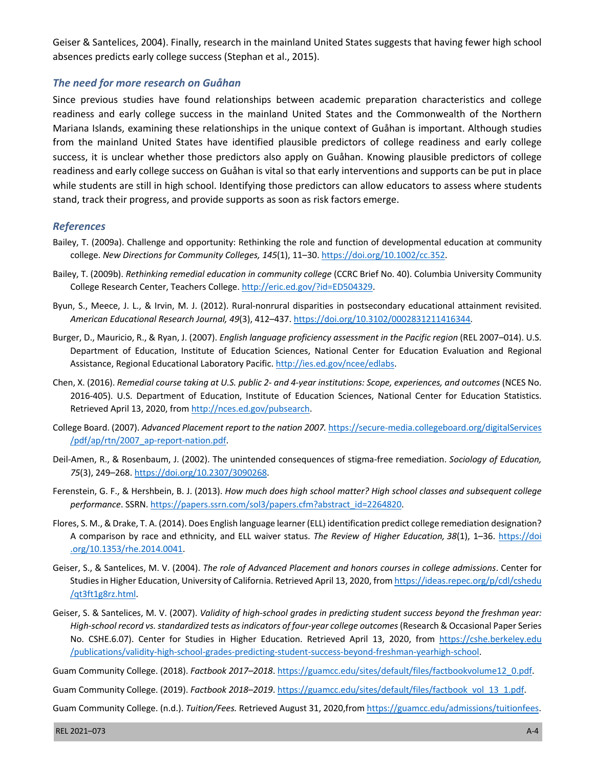Geiser & Santelices, 2004). Finally, research in the mainland United States suggests that having fewer high school absences predicts early college success (Stephan et al., 2015).

#### *The need for more research on Guåhan*

Since previous studies have found relationships between academic preparation characteristics and college readiness and early college success in the mainland United States and the Commonwealth of the Northern Mariana Islands, examining these relationships in the unique context of Guåhan is important. Although studies from the mainland United States have identified plausible predictors of college readiness and early college success, it is unclear whether those predictors also apply on Guåhan. Knowing plausible predictors of college readiness and early college success on Guåhan is vital so that early interventions and supports can be put in place while students are still in high school. Identifying those predictors can allow educators to assess where students stand, track their progress, and provide supports as soon as risk factors emerge.

#### *References*

- Bailey, T. (2009a). Challenge and opportunity: Rethinking the role and function of developmental education at community college. *New Directions for Community Colleges, 145*(1), 11–30. [https://doi.org/10.1002/cc.352.](https://doi.org/10.1002/cc.352)
- Bailey, T. (2009b). *Rethinking remedial education in community college* (CCRC Brief No. 40). Columbia University Community College Research Center, Teachers College. <http://eric.ed.gov/?id=ED504329>.
- Byun, S., Meece, J. L., & Irvin, M. J. (2012). Rural-nonrural disparities in postsecondary educational attainment revisited. *American Educational Research Journal, 49*(3), 412–437. [https://doi.org/10.3102/0002831211416344.](https://doi.org/10.3102/0002831211416344)
- Burger, D., Mauricio, R., & Ryan, J. (2007). *English language proficiency assessment in the Pacific region* (REL 2007–014). U.S. Department of Education, Institute of Education Sciences, National Center for Education Evaluation and Regional Assistance, Regional Educational Laboratory Pacific.<http://ies.ed.gov/ncee/edlabs>.
- Chen, X. (2016). *Remedial course taking at U.S. public 2- and 4-year institutions: Scope, experiences, and outcomes* (NCES No. 2016-405). U.S. Department of Education, Institute of Education Sciences, National Center for Education Statistics. Retrieved April 13, 2020, from<http://nces.ed.gov/pubsearch>.
- College Board. (2007). *Advanced Placement report to the nation 2007.* [https://secure-media.collegeboard.org/digitalServices](https://secure-media.collegeboard.org/digitalServices/pdf/ap/rtn/2007_ap-report-nation.pdf) [/pdf/ap/rtn/2007\\_ap-report-nation.pdf](https://secure-media.collegeboard.org/digitalServices/pdf/ap/rtn/2007_ap-report-nation.pdf).
- Deil-Amen, R., & Rosenbaum, J. (2002). The unintended consequences of stigma-free remediation. *Sociology of Education, 75*(3), 249–268. [https://doi.org/10.2307/3090268.](https://doi.org/10.2307/3090268)
- Ferenstein, G. F., & Hershbein, B. J. (2013). *How much does high school matter? High school classes and subsequent college performance*. SSRN. [https://papers.ssrn.com/sol3/papers.cfm?abstract\\_id=2264820.](https://papers.ssrn.com/sol3/papers.cfm?abstract_id=2264820)
- Flores, S. M., & Drake, T. A. (2014). Does English language learner (ELL) identification predict college remediation designation? A comparison by race and ethnicity, and ELL waiver status. *The Review of Higher Education, 38*(1), 1–36. [https://doi](https://doi.org/10.1353/rhe.2014.0041) [.org/10.1353/rhe.2014.0041.](https://doi.org/10.1353/rhe.2014.0041)
- Geiser, S., & Santelices, M. V. (2004). *The role of Advanced Placement and honors courses in college admissions*. Center for Studies in Higher Education, University of California. Retrieved April 13, 2020, from [https://ideas.repec.org/p/cdl/cshedu](https://ideas.repec.org/p/cdl/cshedu/qt3ft1g8rz.html) [/qt3ft1g8rz.html](https://ideas.repec.org/p/cdl/cshedu/qt3ft1g8rz.html).
- Geiser, S. & Santelices, M. V. (2007). *Validity of high-school grades in predicting student success beyond the freshman year: High-school record vs. standardized tests as indicators of four-year college outcomes* (Research & Occasional Paper Series No. CSHE.6.07). Center for Studies in Higher Education. Retrieved April 13, 2020, from [https://cshe.berkeley.edu](https://cshe.berkeley.edu/publications/validity-high-school-grades-predicting-student-success-beyond-freshman-yearhigh-school) [/publications/validity-high-school-grades-predicting-student-success-beyond-freshman-yearhigh-school](https://cshe.berkeley.edu/publications/validity-high-school-grades-predicting-student-success-beyond-freshman-yearhigh-school).

Guam Community College. (2018). *Factbook 2017–2018*. [https://guamcc.edu/sites/default/files/factbookvolume12\\_0.pdf.](https://guamcc.edu/sites/default/files/factbookvolume12_0.pdf)

Guam Community College. (2019). *Factbook 2018–2019*. [https://guamcc.edu/sites/default/files/factbook\\_vol\\_13\\_1.pdf](https://guamcc.edu/sites/default/files/factbook_vol_13_1.pdf).

Guam Community College. (n.d.). *Tuition/Fees.* Retrieved August 31, 2020,from [https://guamcc.edu/admissions/tuitionfees.](https://guamcc.edu/admissions/tuitionfees)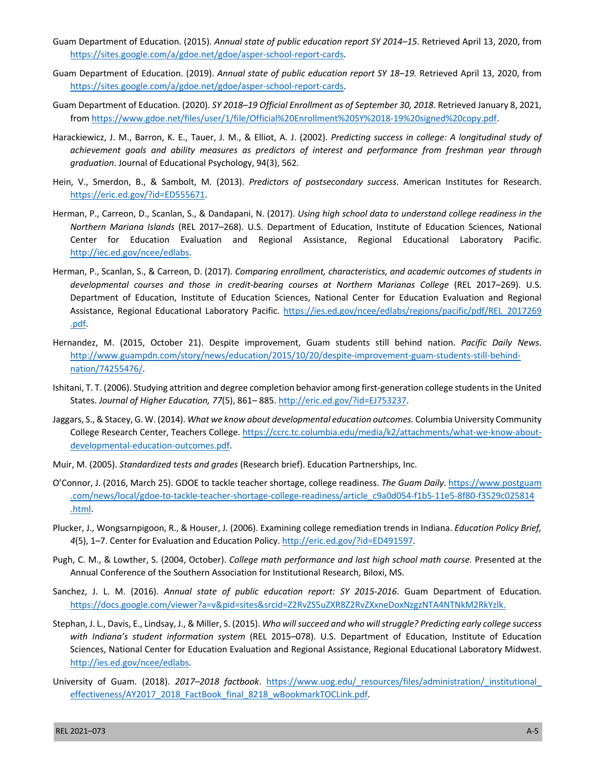- Guam Department of Education. (2015). *Annual state of public education report SY 2014–15.* Retrieved April 13, 2020, from <https://sites.google.com/a/gdoe.net/gdoe/asper-school-report-cards>.
- Guam Department of Education. (2019). *Annual state of public education report SY 18–19.* Retrieved April 13, 2020, from <https://sites.google.com/a/gdoe.net/gdoe/asper-school-report-cards>.
- Guam Department of Education. (2020). *SY 2018–19 Official Enrollment as of September 30, 2018*. Retrieved January 8, 2021, from <https://www.gdoe.net/files/user/1/file/Official%20Enrollment%20SY%2018-19%20signed%20copy.pdf>.
- Harackiewicz, J. M., Barron, K. E., Tauer, J. M., & Elliot, A. J. (2002). *Predicting success in college: A longitudinal study of achievement goals and ability measures as predictors of interest and performance from freshman year through graduation*. Journal of Educational Psychology, 94(3), 562.
- Hein, V., Smerdon, B., & Sambolt, M. (2013). *Predictors of postsecondary success*. American Institutes for Research. <https://eric.ed.gov/?id=ED555671>.
- Herman, P., Carreon, D., Scanlan, S., & Dandapani, N. (2017). *Using high school data to understand college readiness in the Northern Mariana Islands* (REL 2017–268). U.S. Department of Education, Institute of Education Sciences, National Center for Education Evaluation and Regional Assistance, Regional Educational Laboratory Pacific. [http://iec.ed.gov/ncee/edlabs.](http://iec.ed.gov/ncee/edlabs)
- Herman, P., Scanlan, S., & Carreon, D. (2017). *Comparing enrollment, characteristics, and academic outcomes of students in developmental courses and those in credit-bearing courses at Northern Marianas College* (REL 2017–269). U.S. Department of Education, Institute of Education Sciences, National Center for Education Evaluation and Regional Assistance, Regional Educational Laboratory Pacific. [https://ies.ed.gov/ncee/edlabs/regions/pacific/pdf/REL\\_2017269](https://ies.ed.gov/ncee/edlabs/regions/pacific/pdf/REL_2017269.pdf) [.pdf](https://ies.ed.gov/ncee/edlabs/regions/pacific/pdf/REL_2017269.pdf).
- Hernandez, M. (2015, October 21). Despite improvement, Guam students still behind nation. *Pacific Daily News*. [http://www.guampdn.com/story/news/education/2015/10/20/despite-improvement-guam-students-still-behind](http://www.guampdn.com/story/news/education/2015/10/20/despite-improvement-guam-students-still-behind-nation/74255476/)[nation/74255476/](http://www.guampdn.com/story/news/education/2015/10/20/despite-improvement-guam-students-still-behind-nation/74255476/).
- Ishitani, T. T. (2006). Studying attrition and degree completion behavior among first-generation college students in the United States. *Journal of Higher Education, 77*(5), 861– 885.<http://eric.ed.gov/?id=EJ753237>.
- Jaggars, S., & Stacey, G. W. (2014). *What we know about developmental education outcomes.* Columbia University Community College Research Center, Teachers College. [https://ccrc.tc.columbia.edu/media/k2/attachments/what-we-know-about](https://ccrc.tc.columbia.edu/media/k2/attachments/what-we-know-about-developmental-education-outcomes.pdf)[developmental-education-outcomes.pdf.](https://ccrc.tc.columbia.edu/media/k2/attachments/what-we-know-about-developmental-education-outcomes.pdf)
- Muir, M. (2005). *Standardized tests and grades* (Research brief). Education Partnerships, Inc.
- O'Connor, J. (2016, March 25). GDOE to tackle teacher shortage, college readiness. *The Guam Daily*. [https://www.postguam](https://www.postguam.com/news/local/gdoe-to-tackle-teacher-shortage-college-readiness/article_c9a0d054-f1b5-11e5-8f80-f3529c025814.html) [.com/news/local/gdoe-to-tackle-teacher-shortage-college-readiness/article\\_c9a0d054-f1b5-11e5-8f80-f3529c025814](https://www.postguam.com/news/local/gdoe-to-tackle-teacher-shortage-college-readiness/article_c9a0d054-f1b5-11e5-8f80-f3529c025814.html) [.html.](https://www.postguam.com/news/local/gdoe-to-tackle-teacher-shortage-college-readiness/article_c9a0d054-f1b5-11e5-8f80-f3529c025814.html)
- Plucker, J., Wongsarnpigoon, R., & Houser, J. (2006). Examining college remediation trends in Indiana. *Education Policy Brief, 4*(5), 1–7. Center for Evaluation and Education Policy. [http://eric.ed.gov/?id=ED491597.](http://eric.ed.gov/?id=ED491597)
- Pugh, C. M., & Lowther, S. (2004, October). *College math performance and last high school math course.* Presented at the Annual Conference of the Southern Association for Institutional Research, Biloxi, MS.
- Sanchez, J. L. M. (2016). *Annual state of public education report: SY 2015-2016*. Guam Department of Education. <https://docs.google.com/viewer?a=v&pid=sites&srcid=Z2RvZS5uZXR8Z2RvZXxneDoxNzgzNTA4NTNkM2RkYzlk>.
- Stephan, J. L., Davis, E., Lindsay, J., & Miller, S. (2015). *Who will succeed and who will struggle? Predicting early college success with Indiana's student information system* (REL 2015–078). U.S. Department of Education, Institute of Education Sciences, National Center for Education Evaluation and Regional Assistance, Regional Educational Laboratory Midwest. <http://ies.ed.gov/ncee/edlabs>.
- University of Guam. (2018). *2017–2018 factbook*. [https://www.uog.edu/\\_resources/files/administration/\\_institutional\\_](https://www.uog.edu/_resources/files/administration/_institutional_effectiveness/AY2017_2018_FactBook_final_8218_wBookmarkTOCLink.pdf) [effectiveness/AY2017\\_2018\\_FactBook\\_final\\_8218\\_wBookmarkTOCLink.pdf.](https://www.uog.edu/_resources/files/administration/_institutional_effectiveness/AY2017_2018_FactBook_final_8218_wBookmarkTOCLink.pdf)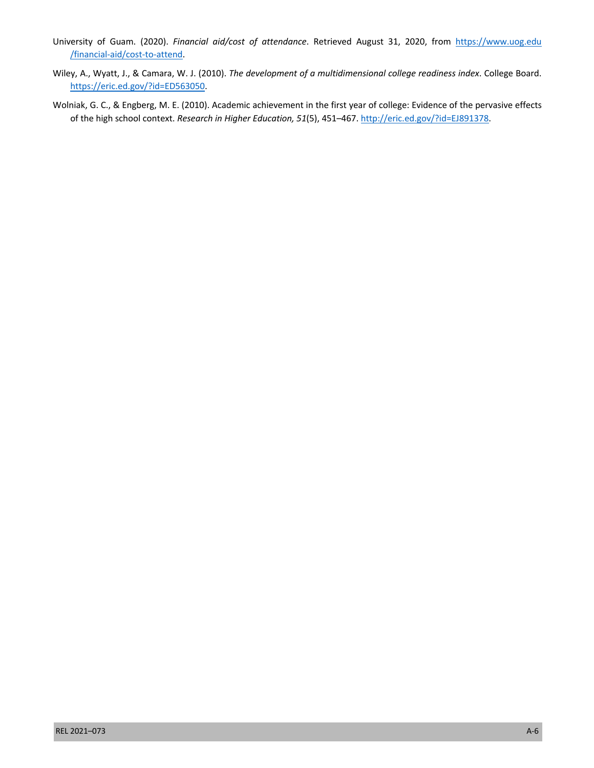- University of Guam. (2020). *Financial aid/cost of attendance*. Retrieved August 31, 2020, from [https://www.uog.edu](https://www.uog.edu//financial-aid/cost-to-attend) [/financial-aid/cost-to-attend.](https://www.uog.edu//financial-aid/cost-to-attend)
- Wiley, A., Wyatt, J., & Camara, W. J. (2010). *The development of a multidimensional college readiness index*. College Board. <https://eric.ed.gov/?id=ED563050>.
- Wolniak, G. C., & Engberg, M. E. (2010). Academic achievement in the first year of college: Evidence of the pervasive effects of the high school context. *Research in Higher Education, 51*(5), 451–467.<http://eric.ed.gov/?id=EJ891378>.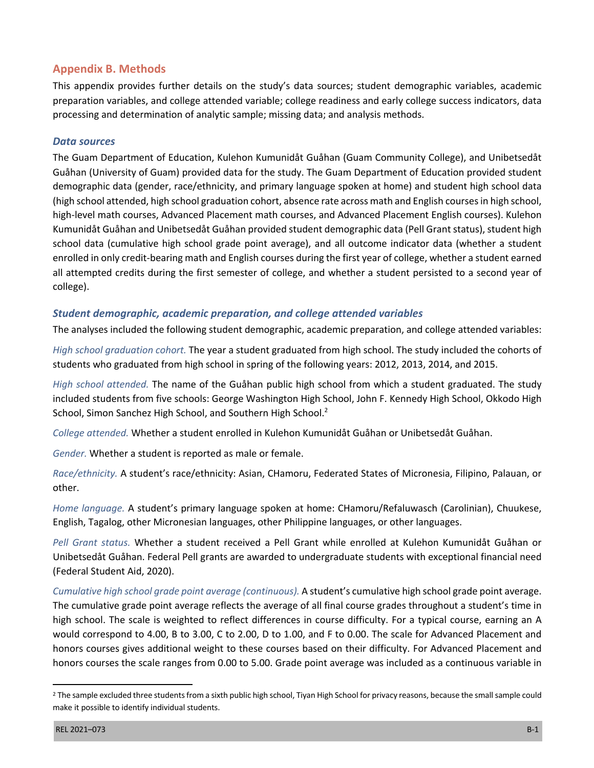## **Appendix B. Methods**

This appendix provides further details on the study's data sources; student demographic variables, academic preparation variables, and college attended variable; college readiness and early college success indicators, data processing and determination of analytic sample; missing data; and analysis methods.

#### *Data sources*

The Guam Department of Education, Kulehon Kumunidåt Guåhan (Guam Community College), and Unibetsedåt Guåhan (University of Guam) provided data for the study. The Guam Department of Education provided student demographic data (gender, race/ethnicity, and primary language spoken at home) and student high school data (high school attended, high school graduation cohort, absence rate across math and English courses in high school, high-level math courses, Advanced Placement math courses, and Advanced Placement English courses). Kulehon Kumunidåt Guåhan and Unibetsedåt Guåhan provided student demographic data (Pell Grant status), student high school data (cumulative high school grade point average), and all outcome indicator data (whether a student enrolled in only credit-bearing math and English courses during the first year of college, whether a student earned all attempted credits during the first semester of college, and whether a student persisted to a second year of college).

#### *Student demographic, academic preparation, and college attended variables*

The analyses included the following student demographic, academic preparation, and college attended variables:

*High school graduation cohort.* The year a student graduated from high school. The study included the cohorts of students who graduated from high school in spring of the following years: 2012, 2013, 2014, and 2015.

*High school attended.* The name of the Guåhan public high school from which a student graduated. The study included students from five schools: George Washington High School, John F. Kennedy High School, Okkodo High School, Simon Sanchez High School, and Southern High School.<sup>2</sup>

*College attended.* Whether a student enrolled in Kulehon Kumunidåt Guåhan or Unibetsedåt Guåhan.

*Gender.* Whether a student is reported as male or female.

*Race/ethnicity.* A student's race/ethnicity: Asian, CHamoru, Federated States of Micronesia, Filipino, Palauan, or other.

*Home language.* A student's primary language spoken at home: CHamoru/Refaluwasch (Carolinian), Chuukese, English, Tagalog, other Micronesian languages, other Philippine languages, or other languages.

*Pell Grant status.* Whether a student received a Pell Grant while enrolled at Kulehon Kumunidåt Guåhan or Unibetsedåt Guåhan. Federal Pell grants are awarded to undergraduate students with exceptional financial need (Federal Student Aid, 2020).

*Cumulative high school grade point average (continuous).* A student's cumulative high school grade point average. The cumulative grade point average reflects the average of all final course grades throughout a student's time in high school. The scale is weighted to reflect differences in course difficulty. For a typical course, earning an A would correspond to 4.00, B to 3.00, C to 2.00, D to 1.00, and F to 0.00. The scale for Advanced Placement and honors courses gives additional weight to these courses based on their difficulty. For Advanced Placement and honors courses the scale ranges from 0.00 to 5.00. Grade point average was included as a continuous variable in

<sup>&</sup>lt;sup>2</sup> The sample excluded three students from a sixth public high school, Tiyan High School for privacy reasons, because the small sample could make it possible to identify individual students.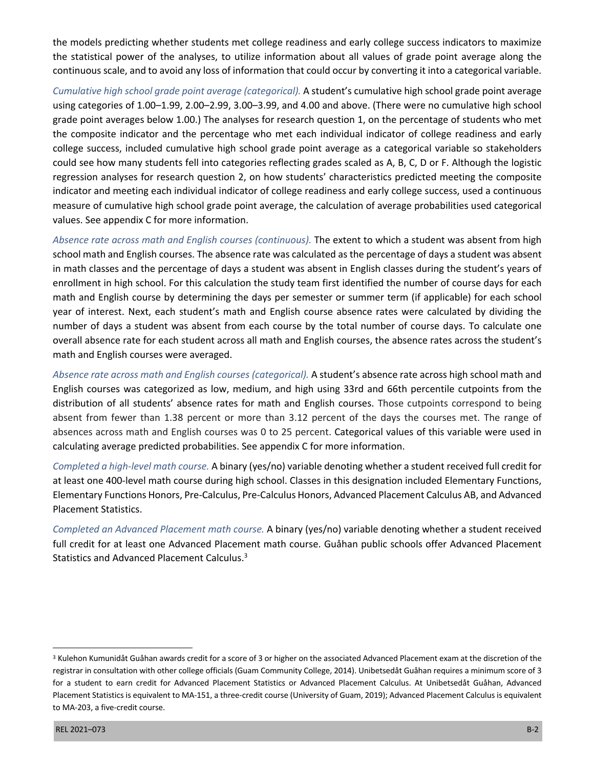the models predicting whether students met college readiness and early college success indicators to maximize the statistical power of the analyses, to utilize information about all values of grade point average along the continuous scale, and to avoid any loss of information that could occur by converting it into a categorical variable.

*Cumulative high school grade point average (categorical).* A student's cumulative high school grade point average using categories of 1.00–1.99, 2.00–2.99, 3.00–3.99, and 4.00 and above. (There were no cumulative high school grade point averages below 1.00.) The analyses for research question 1, on the percentage of students who met the composite indicator and the percentage who met each individual indicator of college readiness and early college success, included cumulative high school grade point average as a categorical variable so stakeholders could see how many students fell into categories reflecting grades scaled as A, B, C, D or F. Although the logistic regression analyses for research question 2, on how students' characteristics predicted meeting the composite indicator and meeting each individual indicator of college readiness and early college success, used a continuous measure of cumulative high school grade point average, the calculation of average probabilities used categorical values. See appendix C for more information.

*Absence rate across math and English courses (continuous).* The extent to which a student was absent from high school math and English courses. The absence rate was calculated as the percentage of days a student was absent in math classes and the percentage of days a student was absent in English classes during the student's years of enrollment in high school. For this calculation the study team first identified the number of course days for each math and English course by determining the days per semester or summer term (if applicable) for each school year of interest. Next, each student's math and English course absence rates were calculated by dividing the number of days a student was absent from each course by the total number of course days. To calculate one overall absence rate for each student across all math and English courses, the absence rates across the student's math and English courses were averaged.

*Absence rate across math and English courses (categorical).* A student's absence rate across high school math and English courses was categorized as low, medium, and high using 33rd and 66th percentile cutpoints from the distribution of all students' absence rates for math and English courses. Those cutpoints correspond to being absent from fewer than 1.38 percent or more than 3.12 percent of the days the courses met. The range of absences across math and English courses was 0 to 25 percent. Categorical values of this variable were used in calculating average predicted probabilities. See appendix C for more information.

*Completed a high-level math course.* A binary (yes/no) variable denoting whether a student received full credit for at least one 400-level math course during high school. Classes in this designation included Elementary Functions, Elementary Functions Honors, Pre-Calculus, Pre-Calculus Honors, Advanced Placement Calculus AB, and Advanced Placement Statistics.

*Completed an Advanced Placement math course.* A binary (yes/no) variable denoting whether a student received full credit for at least one Advanced Placement math course. Guåhan public schools offer Advanced Placement Statistics and Advanced Placement Calculus.<sup>3</sup>

<sup>&</sup>lt;sup>3</sup> Kulehon Kumunidåt Guåhan awards credit for a score of 3 or higher on the associated Advanced Placement exam at the discretion of the registrar in consultation with other college officials (Guam Community College, 2014). Unibetsedåt Guåhan requires a minimum score of 3 for a student to earn credit for Advanced Placement Statistics or Advanced Placement Calculus. At Unibetsedåt Guåhan, Advanced Placement Statistics is equivalent to MA-151, a three-credit course (University of Guam, 2019); Advanced Placement Calculus is equivalent to MA-203, a five-credit course.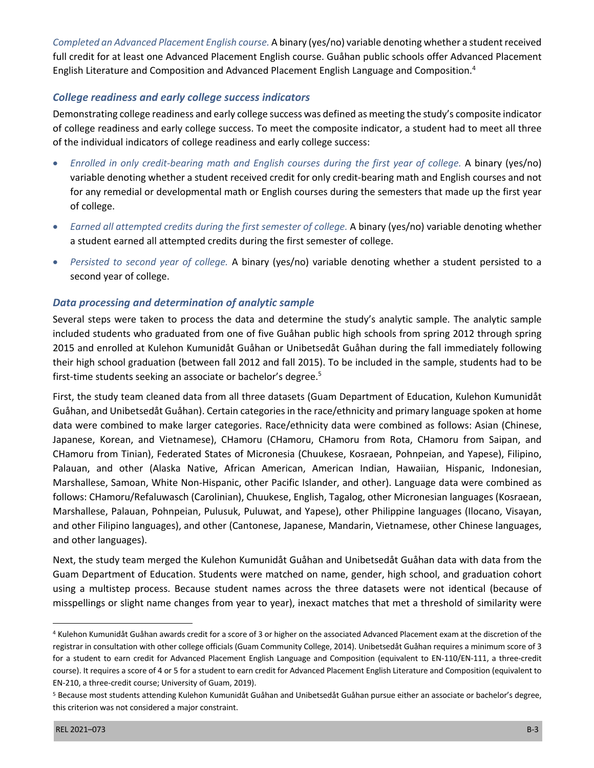*Completed an Advanced Placement English course.* A binary (yes/no) variable denoting whether a student received full credit for at least one Advanced Placement English course. Guåhan public schools offer Advanced Placement English Literature and Composition and Advanced Placement English Language and Composition.<sup>4</sup>

#### *College readiness and early college success indicators*

Demonstrating college readiness and early college success was defined as meeting the study's composite indicator of college readiness and early college success. To meet the composite indicator, a student had to meet all three of the individual indicators of college readiness and early college success:

- *Enrolled in only credit-bearing math and English courses during the first year of college.* A binary (yes/no) variable denoting whether a student received credit for only credit-bearing math and English courses and not for any remedial or developmental math or English courses during the semesters that made up the first year of college.
- *Earned all attempted credits during the first semester of college.* A binary (yes/no) variable denoting whether a student earned all attempted credits during the first semester of college.
- *Persisted to second year of college.* A binary (yes/no) variable denoting whether a student persisted to a second year of college.

#### *Data processing and determination of analytic sample*

Several steps were taken to process the data and determine the study's analytic sample. The analytic sample included students who graduated from one of five Guåhan public high schools from spring 2012 through spring 2015 and enrolled at Kulehon Kumunidåt Guåhan or Unibetsedåt Guåhan during the fall immediately following their high school graduation (between fall 2012 and fall 2015). To be included in the sample, students had to be first-time students seeking an associate or bachelor's degree.<sup>5</sup>

First, the study team cleaned data from all three datasets (Guam Department of Education, Kulehon Kumunidåt Guåhan, and Unibetsedåt Guåhan). Certain categories in the race/ethnicity and primary language spoken at home data were combined to make larger categories. Race/ethnicity data were combined as follows: Asian (Chinese, Japanese, Korean, and Vietnamese), CHamoru (CHamoru, CHamoru from Rota, CHamoru from Saipan, and CHamoru from Tinian), Federated States of Micronesia (Chuukese, Kosraean, Pohnpeian, and Yapese), Filipino, Palauan, and other (Alaska Native, African American, American Indian, Hawaiian, Hispanic, Indonesian, Marshallese, Samoan, White Non-Hispanic, other Pacific Islander, and other). Language data were combined as follows: CHamoru/Refaluwasch (Carolinian), Chuukese, English, Tagalog, other Micronesian languages (Kosraean, Marshallese, Palauan, Pohnpeian, Pulusuk, Puluwat, and Yapese), other Philippine languages (Ilocano, Visayan, and other Filipino languages), and other (Cantonese, Japanese, Mandarin, Vietnamese, other Chinese languages, and other languages).

Next, the study team merged the Kulehon Kumunidåt Guåhan and Unibetsedåt Guåhan data with data from the Guam Department of Education. Students were matched on name, gender, high school, and graduation cohort using a multistep process. Because student names across the three datasets were not identical (because of misspellings or slight name changes from year to year), inexact matches that met a threshold of similarity were

<sup>4</sup> Kulehon Kumunidåt Guåhan awards credit for a score of 3 or higher on the associated Advanced Placement exam at the discretion of the registrar in consultation with other college officials (Guam Community College, 2014). Unibetsedåt Guåhan requires a minimum score of 3 for a student to earn credit for Advanced Placement English Language and Composition (equivalent to EN-110/EN-111, a three-credit course). It requires a score of 4 or 5 for a student to earn credit for Advanced Placement English Literature and Composition (equivalent to EN-210, a three-credit course; University of Guam, 2019).

<sup>5</sup> Because most students attending Kulehon Kumunidåt Guåhan and Unibetsedåt Guåhan pursue either an associate or bachelor's degree, this criterion was not considered a major constraint.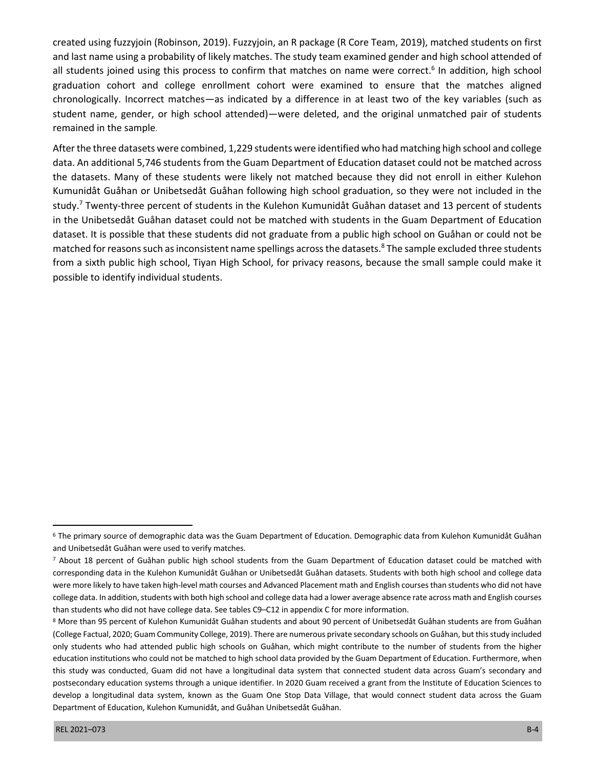created using fuzzyjoin (Robinson, 2019). Fuzzyjoin, an R package (R Core Team, 2019), matched students on first and last name using a probability of likely matches. The study team examined gender and high school attended of all students joined using this process to confirm that matches on name were correct.<sup>6</sup> In addition, high school graduation cohort and college enrollment cohort were examined to ensure that the matches aligned chronologically. Incorrect matches—as indicated by a difference in at least two of the key variables (such as student name, gender, or high school attended)—were deleted, and the original unmatched pair of students remained in the sample.

After the three datasets were combined, 1,229 students were identified who had matching high school and college data. An additional 5,746 students from the Guam Department of Education dataset could not be matched across the datasets. Many of these students were likely not matched because they did not enroll in either Kulehon Kumunidåt Guåhan or Unibetsedåt Guåhan following high school graduation, so they were not included in the study.7 Twenty-three percent of students in the Kulehon Kumunidåt Guåhan dataset and 13 percent of students in the Unibetsedåt Guåhan dataset could not be matched with students in the Guam Department of Education dataset. It is possible that these students did not graduate from a public high school on Guåhan or could not be matched for reasons such as inconsistent name spellings across the datasets.<sup>8</sup> The sample excluded three students from a sixth public high school, Tiyan High School, for privacy reasons, because the small sample could make it possible to identify individual students.

<sup>6</sup> The primary source of demographic data was the Guam Department of Education. Demographic data from Kulehon Kumunidåt Guåhan and Unibetsedåt Guåhan were used to verify matches.

<sup>7</sup> About 18 percent of Guåhan public high school students from the Guam Department of Education dataset could be matched with corresponding data in the Kulehon Kumunidåt Guåhan or Unibetsedåt Guåhan datasets. Students with both high school and college data were more likely to have taken high-level math courses and Advanced Placement math and English courses than students who did not have college data. In addition, students with both high school and college data had a lower average absence rate across math and English courses than students who did not have college data. See tables C9–C12 in appendix C for more information.

<sup>8</sup> More than 95 percent of Kulehon Kumunidåt Guåhan students and about 90 percent of Unibetsedåt Guåhan students are from Guåhan (College Factual, 2020; Guam Community College, 2019). There are numerous private secondary schools on Guåhan, but this study included only students who had attended public high schools on Guåhan, which might contribute to the number of students from the higher education institutions who could not be matched to high school data provided by the Guam Department of Education. Furthermore, when this study was conducted, Guam did not have a longitudinal data system that connected student data across Guam's secondary and postsecondary education systems through a unique identifier. In 2020 Guam received a grant from the Institute of Education Sciences to develop a longitudinal data system, known as the Guam One Stop Data Village, that would connect student data across the Guam Department of Education, Kulehon Kumunidåt, and Guåhan Unibetsedåt Guåhan.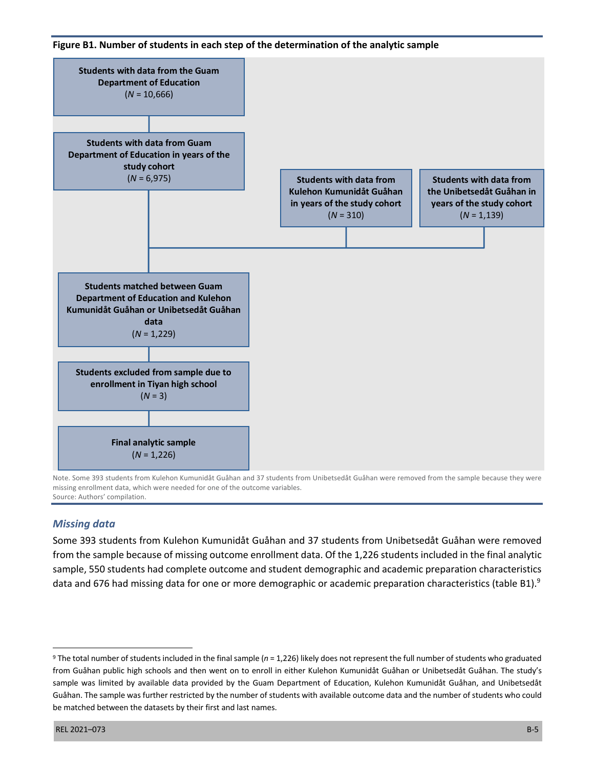



Note. Some 393 students from Kulehon Kumunidåt Guåhan and 37 students from Unibetsedåt Guåhan were removed from the sample because they were missing enrollment data, which were needed for one of the outcome variables. Source: Authors' compilation.

## *Missing data*

Some 393 students from Kulehon Kumunidåt Guåhan and 37 students from Unibetsedåt Guåhan were removed from the sample because of missing outcome enrollment data. Of the 1,226 students included in the final analytic sample, 550 students had complete outcome and student demographic and academic preparation characteristics data and 676 had missing data for one or more demographic or academic preparation characteristics (table B1).<sup>9</sup>

<sup>9</sup> The total number of students included in the final sample (*n* = 1,226) likely does not represent the full number of students who graduated from Guåhan public high schools and then went on to enroll in either Kulehon Kumunidåt Guåhan or Unibetsedåt Guåhan. The study's sample was limited by available data provided by the Guam Department of Education, Kulehon Kumunidåt Guåhan, and Unibetsedåt Guåhan. The sample was further restricted by the number of students with available outcome data and the number of students who could be matched between the datasets by their first and last names.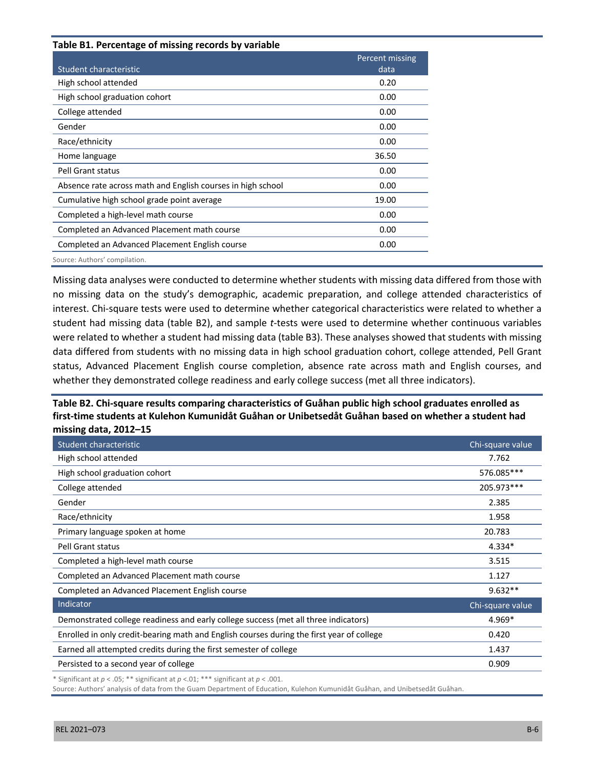| Table B1. Percentage of missing records by variable         | Percent missing |
|-------------------------------------------------------------|-----------------|
| Student characteristic                                      | data            |
| High school attended                                        | 0.20            |
| High school graduation cohort                               | 0.00            |
| College attended                                            | 0.00            |
| Gender                                                      | 0.00            |
| Race/ethnicity                                              | 0.00            |
| Home language                                               | 36.50           |
| Pell Grant status                                           | 0.00            |
| Absence rate across math and English courses in high school | 0.00            |
| Cumulative high school grade point average                  | 19.00           |
| Completed a high-level math course                          | 0.00            |
| Completed an Advanced Placement math course                 | 0.00            |
| Completed an Advanced Placement English course              | 0.00            |
| Source: Authors' compilation.                               |                 |

Missing data analyses were conducted to determine whether students with missing data differed from those with no missing data on the study's demographic, academic preparation, and college attended characteristics of interest. Chi-square tests were used to determine whether categorical characteristics were related to whether a student had missing data (table B2), and sample *t*-tests were used to determine whether continuous variables were related to whether a student had missing data (table B3). These analyses showed that students with missing data differed from students with no missing data in high school graduation cohort, college attended, Pell Grant status, Advanced Placement English course completion, absence rate across math and English courses, and whether they demonstrated college readiness and early college success (met all three indicators).

#### **Table B2. Chi-square results comparing characteristics of Guåhan public high school graduates enrolled as first-time students at Kulehon Kumunidåt Guåhan or Unibetsedåt Guåhan based on whether a student had missing data, 2012–15**

| Student characteristic                                                                    | Chi-square value |
|-------------------------------------------------------------------------------------------|------------------|
| High school attended                                                                      | 7.762            |
| High school graduation cohort                                                             | 576.085***       |
| College attended                                                                          | 205.973***       |
| Gender                                                                                    | 2.385            |
| Race/ethnicity                                                                            | 1.958            |
| Primary language spoken at home                                                           | 20.783           |
| <b>Pell Grant status</b>                                                                  | 4.334*           |
| Completed a high-level math course                                                        | 3.515            |
| Completed an Advanced Placement math course                                               | 1.127            |
| Completed an Advanced Placement English course                                            | $9.632**$        |
| Indicator                                                                                 | Chi-square value |
| Demonstrated college readiness and early college success (met all three indicators)       | 4.969*           |
| Enrolled in only credit-bearing math and English courses during the first year of college | 0.420            |
| Earned all attempted credits during the first semester of college                         | 1.437            |
| Persisted to a second year of college                                                     | 0.909            |

\* Significant at *p* < .05; \*\* significant at *p* <.01; \*\*\* significant at *p* < .001.

Source: Authors' analysis of data from the Guam Department of Education, Kulehon Kumunidåt Guåhan, and Unibetsedåt Guåhan.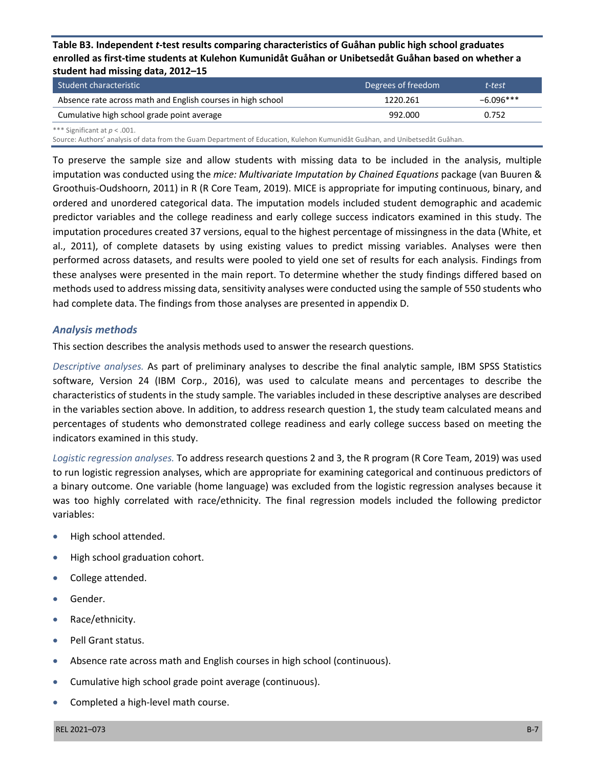**Table B3. Independent** *t***-test results comparing characteristics of Guåhan public high school graduates enrolled as first-time students at Kulehon Kumunidåt Guåhan or Unibetsedåt Guåhan based on whether a student had missing data, 2012–15**

| Student characteristic                                      | Degrees of freedom | t-test      |
|-------------------------------------------------------------|--------------------|-------------|
| Absence rate across math and English courses in high school | 1220.261           | $-6.096***$ |
| Cumulative high school grade point average                  | 992.000            | 0.752       |
| *** Significant at $p < .001$ .                             |                    |             |

Source: Authors' analysis of data from the Guam Department of Education, Kulehon Kumunidåt Guåhan, and Unibetsedåt Guåhan.

To preserve the sample size and allow students with missing data to be included in the analysis, multiple imputation was conducted using the *mice: Multivariate Imputation by Chained Equations* package (van Buuren & Groothuis-Oudshoorn, 2011) in R (R Core Team, 2019). MICE is appropriate for imputing continuous, binary, and ordered and unordered categorical data. The imputation models included student demographic and academic predictor variables and the college readiness and early college success indicators examined in this study. The imputation procedures created 37 versions, equal to the highest percentage of missingness in the data (White, et al., 2011), of complete datasets by using existing values to predict missing variables. Analyses were then performed across datasets, and results were pooled to yield one set of results for each analysis. Findings from these analyses were presented in the main report. To determine whether the study findings differed based on methods used to address missing data, sensitivity analyses were conducted using the sample of 550 students who had complete data. The findings from those analyses are presented in appendix D.

#### *Analysis methods*

This section describes the analysis methods used to answer the research questions.

*Descriptive analyses.* As part of preliminary analyses to describe the final analytic sample, IBM SPSS Statistics software, Version 24 (IBM Corp., 2016), was used to calculate means and percentages to describe the characteristics of students in the study sample. The variables included in these descriptive analyses are described in the variables section above. In addition, to address research question 1, the study team calculated means and percentages of students who demonstrated college readiness and early college success based on meeting the indicators examined in this study.

*Logistic regression analyses.* To address research questions 2 and 3, the R program (R Core Team, 2019) was used to run logistic regression analyses, which are appropriate for examining categorical and continuous predictors of a binary outcome. One variable (home language) was excluded from the logistic regression analyses because it was too highly correlated with race/ethnicity. The final regression models included the following predictor variables:

- High school attended.
- High school graduation cohort.
- College attended.
- Gender.
- Race/ethnicity.
- Pell Grant status.
- Absence rate across math and English courses in high school (continuous).
- Cumulative high school grade point average (continuous).
- Completed a high-level math course.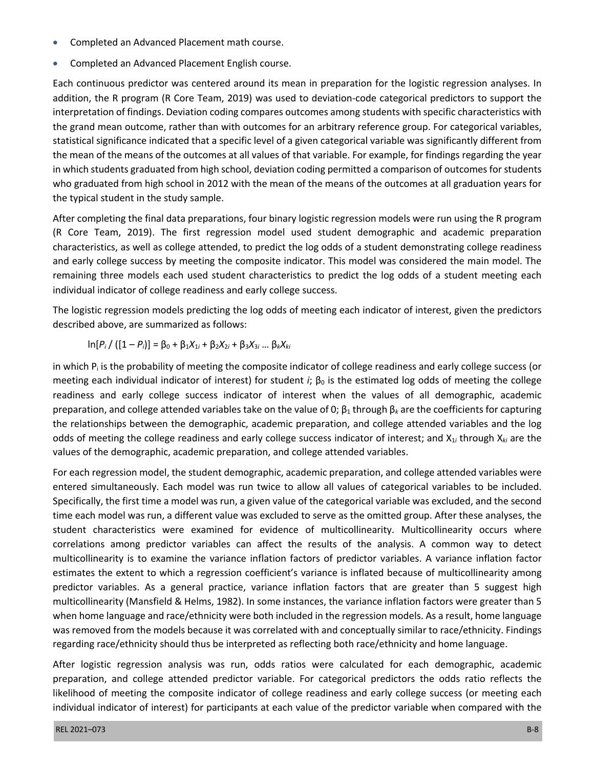- Completed an Advanced Placement math course.
- Completed an Advanced Placement English course.

Each continuous predictor was centered around its mean in preparation for the logistic regression analyses. In addition, the R program (R Core Team, 2019) was used to deviation-code categorical predictors to support the interpretation of findings. Deviation coding compares outcomes among students with specific characteristics with the grand mean outcome, rather than with outcomes for an arbitrary reference group. For categorical variables, statistical significance indicated that a specific level of a given categorical variable was significantly different from the mean of the means of the outcomes at all values of that variable. For example, for findings regarding the year in which students graduated from high school, deviation coding permitted a comparison of outcomes for students who graduated from high school in 2012 with the mean of the means of the outcomes at all graduation years for the typical student in the study sample.

After completing the final data preparations, four binary logistic regression models were run using the R program (R Core Team, 2019). The first regression model used student demographic and academic preparation characteristics, as well as college attended, to predict the log odds of a student demonstrating college readiness and early college success by meeting the composite indicator. This model was considered the main model. The remaining three models each used student characteristics to predict the log odds of a student meeting each individual indicator of college readiness and early college success.

The logistic regression models predicting the log odds of meeting each indicator of interest, given the predictors described above, are summarized as follows:

$$
\ln[P_i / ([1 - P_i]] = \beta_0 + \beta_1 X_{1i} + \beta_2 X_{2i} + \beta_3 X_{3i} \dots \beta_k X_{ki}
$$

in which  $P_i$  is the probability of meeting the composite indicator of college readiness and early college success (or meeting each individual indicator of interest) for student *i*;  $\beta_0$  is the estimated log odds of meeting the college readiness and early college success indicator of interest when the values of all demographic, academic preparation, and college attended variables take on the value of 0;  $β_1$  through  $β_k$  are the coefficients for capturing the relationships between the demographic, academic preparation, and college attended variables and the log odds of meeting the college readiness and early college success indicator of interest; and X1*<sup>i</sup>* through X*ki* are the values of the demographic, academic preparation, and college attended variables.

For each regression model, the student demographic, academic preparation, and college attended variables were entered simultaneously. Each model was run twice to allow all values of categorical variables to be included. Specifically, the first time a model was run, a given value of the categorical variable was excluded, and the second time each model was run, a different value was excluded to serve as the omitted group. After these analyses, the student characteristics were examined for evidence of multicollinearity. Multicollinearity occurs where correlations among predictor variables can affect the results of the analysis. A common way to detect multicollinearity is to examine the variance inflation factors of predictor variables. A variance inflation factor estimates the extent to which a regression coefficient's variance is inflated because of multicollinearity among predictor variables. As a general practice, variance inflation factors that are greater than 5 suggest high multicollinearity (Mansfield & Helms, 1982). In some instances, the variance inflation factors were greater than 5 when home language and race/ethnicity were both included in the regression models. As a result, home language was removed from the models because it was correlated with and conceptually similar to race/ethnicity. Findings regarding race/ethnicity should thus be interpreted as reflecting both race/ethnicity and home language.

After logistic regression analysis was run, odds ratios were calculated for each demographic, academic preparation, and college attended predictor variable. For categorical predictors the odds ratio reflects the likelihood of meeting the composite indicator of college readiness and early college success (or meeting each individual indicator of interest) for participants at each value of the predictor variable when compared with the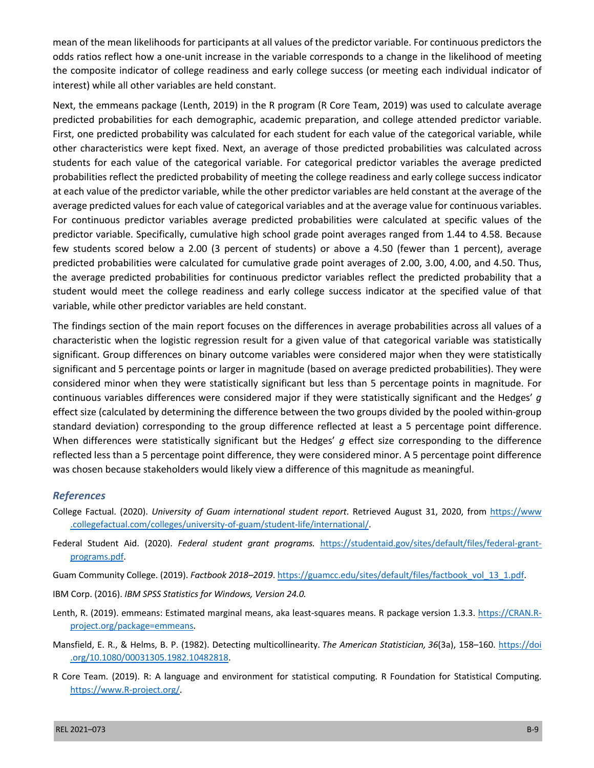mean of the mean likelihoods for participants at all values of the predictor variable. For continuous predictors the odds ratios reflect how a one-unit increase in the variable corresponds to a change in the likelihood of meeting the composite indicator of college readiness and early college success (or meeting each individual indicator of interest) while all other variables are held constant.

Next, the emmeans package (Lenth, 2019) in the R program (R Core Team, 2019) was used to calculate average predicted probabilities for each demographic, academic preparation, and college attended predictor variable. First, one predicted probability was calculated for each student for each value of the categorical variable, while other characteristics were kept fixed. Next, an average of those predicted probabilities was calculated across students for each value of the categorical variable. For categorical predictor variables the average predicted probabilities reflect the predicted probability of meeting the college readiness and early college success indicator at each value of the predictor variable, while the other predictor variables are held constant at the average of the average predicted values for each value of categorical variables and at the average value for continuous variables. For continuous predictor variables average predicted probabilities were calculated at specific values of the predictor variable. Specifically, cumulative high school grade point averages ranged from 1.44 to 4.58. Because few students scored below a 2.00 (3 percent of students) or above a 4.50 (fewer than 1 percent), average predicted probabilities were calculated for cumulative grade point averages of 2.00, 3.00, 4.00, and 4.50. Thus, the average predicted probabilities for continuous predictor variables reflect the predicted probability that a student would meet the college readiness and early college success indicator at the specified value of that variable, while other predictor variables are held constant.

The findings section of the main report focuses on the differences in average probabilities across all values of a characteristic when the logistic regression result for a given value of that categorical variable was statistically significant. Group differences on binary outcome variables were considered major when they were statistically significant and 5 percentage points or larger in magnitude (based on average predicted probabilities). They were considered minor when they were statistically significant but less than 5 percentage points in magnitude. For continuous variables differences were considered major if they were statistically significant and the Hedges' *g* effect size (calculated by determining the difference between the two groups divided by the pooled within-group standard deviation) corresponding to the group difference reflected at least a 5 percentage point difference. When differences were statistically significant but the Hedges' *g* effect size corresponding to the difference reflected less than a 5 percentage point difference, they were considered minor. A 5 percentage point difference was chosen because stakeholders would likely view a difference of this magnitude as meaningful.

#### *References*

- College Factual. (2020). *University of Guam international student report*. Retrieved August 31, 2020, from [https://www](https://www.collegefactual.com/colleges/university-of-guam/student-life/international/) [.collegefactual.com/colleges/university-of-guam/student-life/international/](https://www.collegefactual.com/colleges/university-of-guam/student-life/international/).
- Federal Student Aid. (2020). *Federal student grant programs.* [https://studentaid.gov/sites/default/files/federal-grant](https://studentaid.gov/sites/default/files/federal-grant-programs.pdf)[programs.pdf](https://studentaid.gov/sites/default/files/federal-grant-programs.pdf).
- Guam Community College. (2019). *Factbook 2018–2019*. [https://guamcc.edu/sites/default/files/factbook\\_vol\\_13\\_1.pdf.](https://guamcc.edu/sites/default/files/factbook_vol_13_1.pdf)
- IBM Corp. (2016). *IBM SPSS Statistics for Windows, Version 24.0.*
- Lenth, R. (2019). emmeans: Estimated marginal means, aka least-squares means. R package version 1.3.3. [https://CRAN.R](https://CRAN.R-project.org/package=emmeans)[project.org/package=emmeans](https://CRAN.R-project.org/package=emmeans).
- Mansfield, E. R., & Helms, B. P. (1982). Detecting multicollinearity. *The American Statistician, 36*(3a), 158–160. [https://doi](https://doi.org/10.1080/00031305.1982.10482818) [.org/10.1080/00031305.1982.10482818](https://doi.org/10.1080/00031305.1982.10482818).
- R Core Team. (2019). R: A language and environment for statistical computing. R Foundation for Statistical Computing. <https://www.R-project.org/>.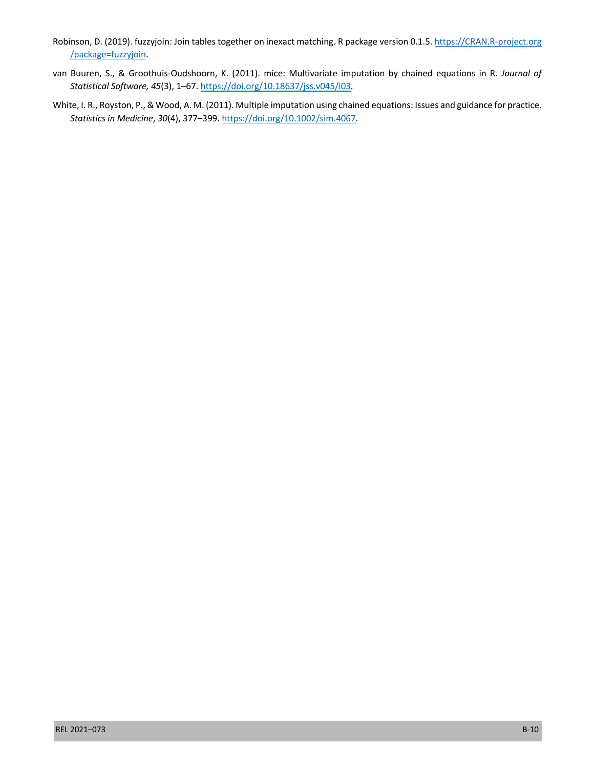- Robinson, D. (2019). fuzzyjoin: Join tables together on inexact matching. R package version 0.1.5. [https://CRAN.R-project.org](https://CRAN.R-project.org/package=fuzzyjoin) [/package=fuzzyjoin](https://CRAN.R-project.org/package=fuzzyjoin).
- van Buuren, S., & Groothuis-Oudshoorn, K. (2011). mice: Multivariate imputation by chained equations in R. *Journal of Statistical Software, 45*(3), 1–67. <https://doi.org/10.18637/jss.v045/i03>.
- White, I. R., Royston, P., & Wood, A. M. (2011). Multiple imputation using chained equations: Issues and guidance for practice. *Statistics in Medicine*, *30*(4), 377–399. [https://doi.org/10.1002/sim.4067.](https://doi.org/10.1002/sim.4067)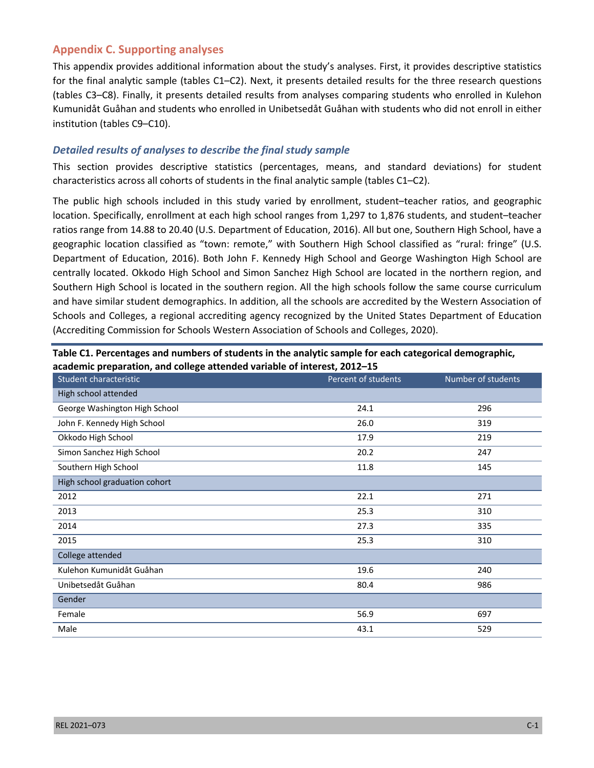## **Appendix C. Supporting analyses**

This appendix provides additional information about the study's analyses. First, it provides descriptive statistics for the final analytic sample (tables C1–C2). Next, it presents detailed results for the three research questions (tables C3–C8). Finally, it presents detailed results from analyses comparing students who enrolled in Kulehon Kumunidåt Guåhan and students who enrolled in Unibetsedåt Guåhan with students who did not enroll in either institution (tables C9–C10).

#### *Detailed results of analyses to describe the final study sample*

This section provides descriptive statistics (percentages, means, and standard deviations) for student characteristics across all cohorts of students in the final analytic sample (tables C1–C2).

The public high schools included in this study varied by enrollment, student–teacher ratios, and geographic location. Specifically, enrollment at each high school ranges from 1,297 to 1,876 students, and student–teacher ratios range from 14.88 to 20.40 (U.S. Department of Education, 2016). All but one, Southern High School, have a geographic location classified as "town: remote," with Southern High School classified as "rural: fringe" (U.S. Department of Education, 2016). Both John F. Kennedy High School and George Washington High School are centrally located. Okkodo High School and Simon Sanchez High School are located in the northern region, and Southern High School is located in the southern region. All the high schools follow the same course curriculum and have similar student demographics. In addition, all the schools are accredited by the Western Association of Schools and Colleges, a regional accrediting agency recognized by the United States Department of Education (Accrediting Commission for Schools Western Association of Schools and Colleges, 2020).

| Student characteristic        | Percent of students | Number of students |
|-------------------------------|---------------------|--------------------|
| High school attended          |                     |                    |
| George Washington High School | 24.1                | 296                |
| John F. Kennedy High School   | 26.0                | 319                |
| Okkodo High School            | 17.9                | 219                |
| Simon Sanchez High School     | 20.2                | 247                |
| Southern High School          | 11.8                | 145                |
| High school graduation cohort |                     |                    |
| 2012                          | 22.1                | 271                |
| 2013                          | 25.3                | 310                |
| 2014                          | 27.3                | 335                |
| 2015                          | 25.3                | 310                |
| College attended              |                     |                    |
| Kulehon Kumunidåt Guåhan      | 19.6                | 240                |
| Unibetsedåt Guåhan            | 80.4                | 986                |
| Gender                        |                     |                    |
| Female                        | 56.9                | 697                |
| Male                          | 43.1                | 529                |

**Table C1. Percentages and numbers of students in the analytic sample for each categorical demographic, academic preparation, and college attended variable of interest, 2012–15**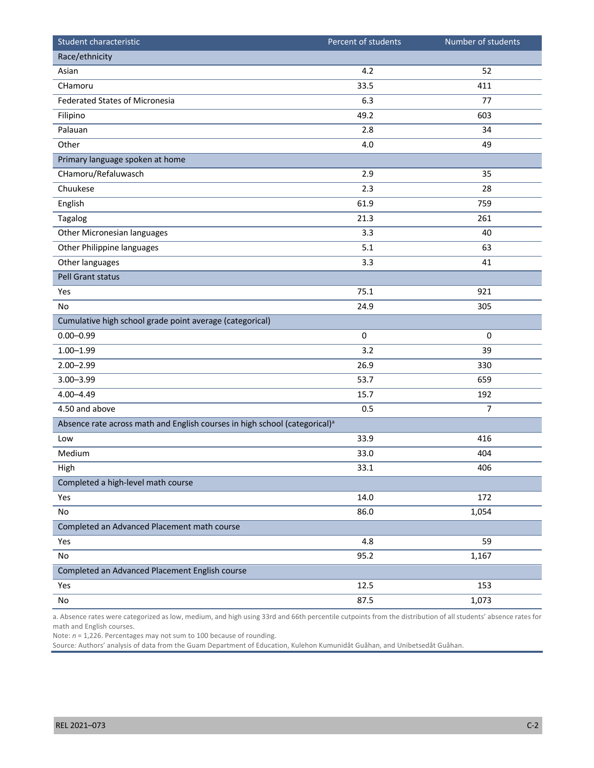| Student characteristic                                                                 | Percent of students | Number of students |
|----------------------------------------------------------------------------------------|---------------------|--------------------|
| Race/ethnicity                                                                         |                     |                    |
| Asian                                                                                  | 4.2                 | 52                 |
| CHamoru                                                                                | 33.5                | 411                |
| <b>Federated States of Micronesia</b>                                                  | 6.3                 | 77                 |
| Filipino                                                                               | 49.2                | 603                |
| Palauan                                                                                | 2.8                 | 34                 |
| Other                                                                                  | 4.0                 | 49                 |
| Primary language spoken at home                                                        |                     |                    |
| CHamoru/Refaluwasch                                                                    | 2.9                 | 35                 |
| Chuukese                                                                               | 2.3                 | 28                 |
| English                                                                                | 61.9                | 759                |
| Tagalog                                                                                | 21.3                | 261                |
| Other Micronesian languages                                                            | 3.3                 | 40                 |
| Other Philippine languages                                                             | 5.1                 | 63                 |
| Other languages                                                                        | 3.3                 | 41                 |
| Pell Grant status                                                                      |                     |                    |
| Yes                                                                                    | 75.1                | 921                |
| No                                                                                     | 24.9                | 305                |
| Cumulative high school grade point average (categorical)                               |                     |                    |
| $0.00 - 0.99$                                                                          | $\pmb{0}$           | $\pmb{0}$          |
| $1.00 - 1.99$                                                                          | 3.2                 | 39                 |
| $2.00 - 2.99$                                                                          | 26.9                | 330                |
| $3.00 - 3.99$                                                                          | 53.7                | 659                |
| $4.00 - 4.49$                                                                          | 15.7                | 192                |
| 4.50 and above                                                                         | 0.5                 | $\overline{7}$     |
| Absence rate across math and English courses in high school (categorical) <sup>a</sup> |                     |                    |
| Low                                                                                    | 33.9                | 416                |
| Medium                                                                                 | 33.0                | 404                |
| High                                                                                   | 33.1                | 406                |
| Completed a high-level math course                                                     |                     |                    |
| Yes                                                                                    | 14.0                | 172                |
| No                                                                                     | 86.0                | 1,054              |
| Completed an Advanced Placement math course                                            |                     |                    |
| Yes                                                                                    | 4.8                 | 59                 |
| No                                                                                     | 95.2                | 1,167              |
| Completed an Advanced Placement English course                                         |                     |                    |
| Yes                                                                                    | 12.5                | 153                |
| $\operatorname{\mathsf{No}}$                                                           | 87.5                | 1,073              |

a. Absence rates were categorized as low, medium, and high using 33rd and 66th percentile cutpoints from the distribution of all students' absence rates for math and English courses.

Note: *n* = 1,226. Percentages may not sum to 100 because of rounding.

Source*:* Authors' analysis of data from the Guam Department of Education, Kulehon Kumunidåt Guåhan, and Unibetsedåt Guåhan.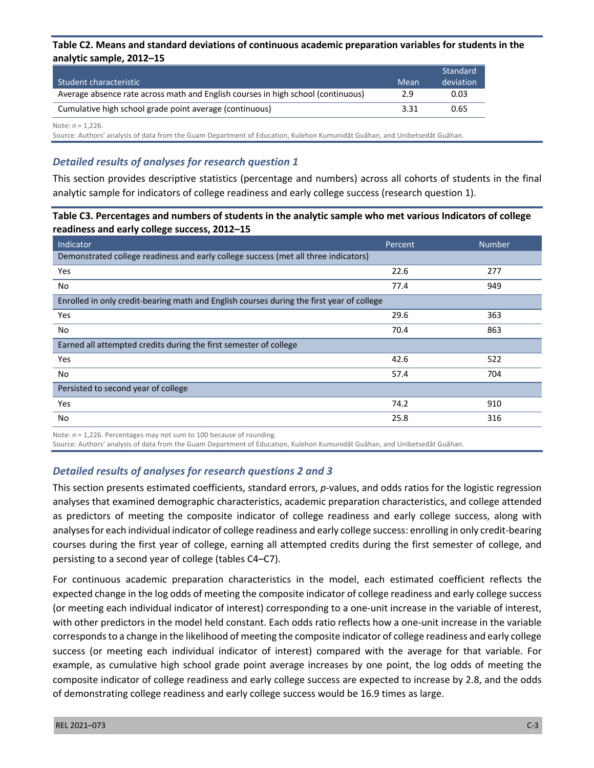#### **Table C2. Means and standard deviations of continuous academic preparation variables for students in the analytic sample, 2012–15**

| Student characteristic                                                           | Mean | Standard<br>deviation |
|----------------------------------------------------------------------------------|------|-----------------------|
| Average absence rate across math and English courses in high school (continuous) | 2.9  | 0.03                  |
| Cumulative high school grade point average (continuous)                          | 3.31 | 0.65                  |

Note: *n* = 1,226.

Source: Authors' analysis of data from the Guam Department of Education, Kulehon Kumunidåt Guåhan, and Unibetsedåt Guåhan.

# *Detailed results of analyses for research question 1*

This section provides descriptive statistics (percentage and numbers) across all cohorts of students in the final analytic sample for indicators of college readiness and early college success (research question 1).

#### **Table C3. Percentages and numbers of students in the analytic sample who met various Indicators of college readiness and early college success, 2012–15**

| Indicator                                                                                 | Percent | <b>Number</b> |  |  |
|-------------------------------------------------------------------------------------------|---------|---------------|--|--|
| Demonstrated college readiness and early college success (met all three indicators)       |         |               |  |  |
| Yes                                                                                       | 22.6    | 277           |  |  |
| No                                                                                        | 77.4    | 949           |  |  |
| Enrolled in only credit-bearing math and English courses during the first year of college |         |               |  |  |
| Yes                                                                                       | 29.6    | 363           |  |  |
| No                                                                                        | 70.4    | 863           |  |  |
| Earned all attempted credits during the first semester of college                         |         |               |  |  |
| Yes                                                                                       | 42.6    | 522           |  |  |
| No                                                                                        | 57.4    | 704           |  |  |
| Persisted to second year of college                                                       |         |               |  |  |
| Yes                                                                                       | 74.2    | 910           |  |  |
| No                                                                                        | 25.8    | 316           |  |  |

Note: *n* = 1,226. Percentages may not sum to 100 because of rounding.

Source: Authors' analysis of data from the Guam Department of Education, Kulehon Kumunidåt Guåhan, and Unibetsedåt Guåhan.

#### *Detailed results of analyses for research questions 2 and 3*

This section presents estimated coefficients, standard errors, *p*-values, and odds ratios for the logistic regression analyses that examined demographic characteristics, academic preparation characteristics, and college attended as predictors of meeting the composite indicator of college readiness and early college success, along with analyses for each individual indicator of college readiness and early college success: enrolling in only credit-bearing courses during the first year of college, earning all attempted credits during the first semester of college, and persisting to a second year of college (tables C4–C7).

For continuous academic preparation characteristics in the model, each estimated coefficient reflects the expected change in the log odds of meeting the composite indicator of college readiness and early college success (or meeting each individual indicator of interest) corresponding to a one-unit increase in the variable of interest, with other predictors in the model held constant. Each odds ratio reflects how a one-unit increase in the variable corresponds to a change in the likelihood of meeting the composite indicator of college readiness and early college success (or meeting each individual indicator of interest) compared with the average for that variable. For example, as cumulative high school grade point average increases by one point, the log odds of meeting the composite indicator of college readiness and early college success are expected to increase by 2.8, and the odds of demonstrating college readiness and early college success would be 16.9 times as large.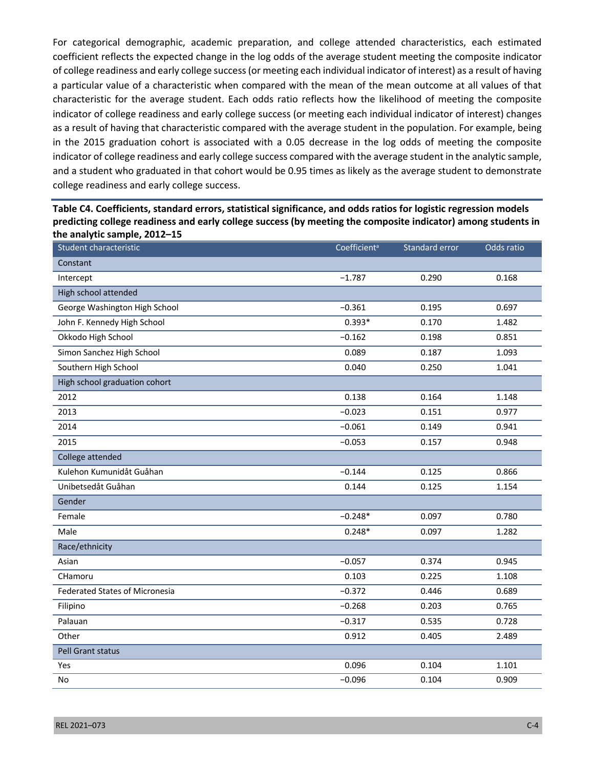For categorical demographic, academic preparation, and college attended characteristics, each estimated coefficient reflects the expected change in the log odds of the average student meeting the composite indicator of college readiness and early college success (or meeting each individual indicator of interest) as a result of having a particular value of a characteristic when compared with the mean of the mean outcome at all values of that characteristic for the average student. Each odds ratio reflects how the likelihood of meeting the composite indicator of college readiness and early college success (or meeting each individual indicator of interest) changes as a result of having that characteristic compared with the average student in the population. For example, being in the 2015 graduation cohort is associated with a 0.05 decrease in the log odds of meeting the composite indicator of college readiness and early college success compared with the average student in the analytic sample, and a student who graduated in that cohort would be 0.95 times as likely as the average student to demonstrate college readiness and early college success.

**Table C4. Coefficients, standard errors, statistical significance, and odds ratios for logistic regression models predicting college readiness and early college success (by meeting the composite indicator) among students in the analytic sample, 2012–15**

| Student characteristic                | Coefficient <sup>a</sup> | Standard error | Odds ratio |
|---------------------------------------|--------------------------|----------------|------------|
| Constant                              |                          |                |            |
| Intercept                             | $-1.787$                 | 0.290          | 0.168      |
| High school attended                  |                          |                |            |
| George Washington High School         | $-0.361$                 | 0.195          | 0.697      |
| John F. Kennedy High School           | $0.393*$                 | 0.170          | 1.482      |
| Okkodo High School                    | $-0.162$                 | 0.198          | 0.851      |
| Simon Sanchez High School             | 0.089                    | 0.187          | 1.093      |
| Southern High School                  | 0.040                    | 0.250          | 1.041      |
| High school graduation cohort         |                          |                |            |
| 2012                                  | 0.138                    | 0.164          | 1.148      |
| 2013                                  | $-0.023$                 | 0.151          | 0.977      |
| 2014                                  | $-0.061$                 | 0.149          | 0.941      |
| 2015                                  | $-0.053$                 | 0.157          | 0.948      |
| College attended                      |                          |                |            |
| Kulehon Kumunidåt Guåhan              | $-0.144$                 | 0.125          | 0.866      |
| Unibetsedåt Guåhan                    | 0.144                    | 0.125          | 1.154      |
| Gender                                |                          |                |            |
| Female                                | $-0.248*$                | 0.097          | 0.780      |
| Male                                  | $0.248*$                 | 0.097          | 1.282      |
| Race/ethnicity                        |                          |                |            |
| Asian                                 | $-0.057$                 | 0.374          | 0.945      |
| CHamoru                               | 0.103                    | 0.225          | 1.108      |
| <b>Federated States of Micronesia</b> | $-0.372$                 | 0.446          | 0.689      |
| Filipino                              | $-0.268$                 | 0.203          | 0.765      |
| Palauan                               | $-0.317$                 | 0.535          | 0.728      |
| Other                                 | 0.912                    | 0.405          | 2.489      |
| Pell Grant status                     |                          |                |            |
| Yes                                   | 0.096                    | 0.104          | 1.101      |
| No                                    | $-0.096$                 | 0.104          | 0.909      |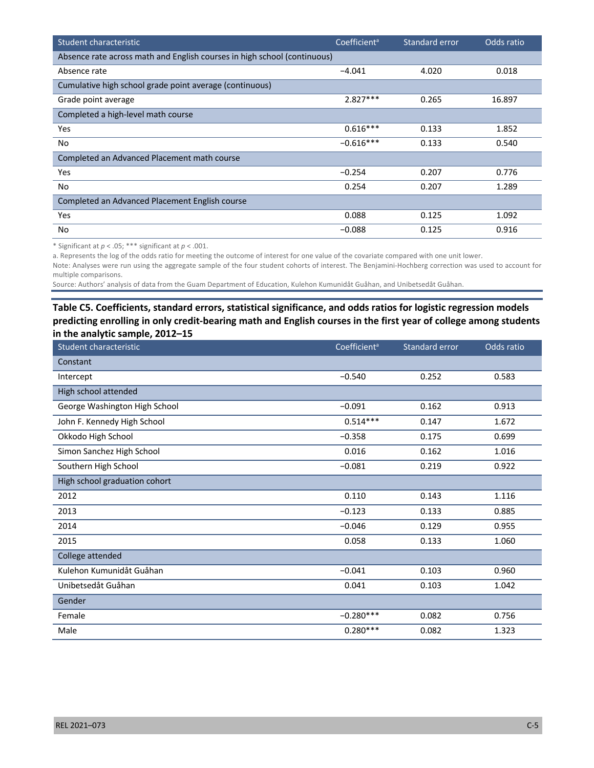| Student characteristic                                                   | Coefficient <sup>a</sup> | Standard error | Odds ratio |
|--------------------------------------------------------------------------|--------------------------|----------------|------------|
| Absence rate across math and English courses in high school (continuous) |                          |                |            |
| Absence rate                                                             | $-4.041$                 | 4.020          | 0.018      |
| Cumulative high school grade point average (continuous)                  |                          |                |            |
| Grade point average                                                      | $2.827***$               | 0.265          | 16.897     |
| Completed a high-level math course                                       |                          |                |            |
| Yes                                                                      | $0.616***$               | 0.133          | 1.852      |
| No.                                                                      | $-0.616***$              | 0.133          | 0.540      |
| Completed an Advanced Placement math course                              |                          |                |            |
| Yes                                                                      | $-0.254$                 | 0.207          | 0.776      |
| No                                                                       | 0.254                    | 0.207          | 1.289      |
| Completed an Advanced Placement English course                           |                          |                |            |
| Yes                                                                      | 0.088                    | 0.125          | 1.092      |
| No                                                                       | $-0.088$                 | 0.125          | 0.916      |

\* Significant at *p* < .05; \*\*\* significant at *p* < .001.

a. Represents the log of the odds ratio for meeting the outcome of interest for one value of the covariate compared with one unit lower.

Note: Analyses were run using the aggregate sample of the four student cohorts of interest. The Benjamini-Hochberg correction was used to account for multiple comparisons.

Source: Authors' analysis of data from the Guam Department of Education, Kulehon Kumunidåt Guåhan, and Unibetsedåt Guåhan.

### **Table C5. Coefficients, standard errors, statistical significance, and odds ratios for logistic regression models predicting enrolling in only credit-bearing math and English courses in the first year of college among students in the analytic sample, 2012–15**

| Student characteristic        | Coefficient <sup>a</sup> | Standard error | Odds ratio |
|-------------------------------|--------------------------|----------------|------------|
| Constant                      |                          |                |            |
| Intercept                     | $-0.540$                 | 0.252          | 0.583      |
| High school attended          |                          |                |            |
| George Washington High School | $-0.091$                 | 0.162          | 0.913      |
| John F. Kennedy High School   | $0.514***$               | 0.147          | 1.672      |
| Okkodo High School            | $-0.358$                 | 0.175          | 0.699      |
| Simon Sanchez High School     | 0.016                    | 0.162          | 1.016      |
| Southern High School          | $-0.081$                 | 0.219          | 0.922      |
| High school graduation cohort |                          |                |            |
| 2012                          | 0.110                    | 0.143          | 1.116      |
| 2013                          | $-0.123$                 | 0.133          | 0.885      |
| 2014                          | $-0.046$                 | 0.129          | 0.955      |
| 2015                          | 0.058                    | 0.133          | 1.060      |
| College attended              |                          |                |            |
| Kulehon Kumunidåt Guåhan      | $-0.041$                 | 0.103          | 0.960      |
| Unibetsedåt Guåhan            | 0.041                    | 0.103          | 1.042      |
| Gender                        |                          |                |            |
| Female                        | $-0.280***$              | 0.082          | 0.756      |
| Male                          | $0.280***$               | 0.082          | 1.323      |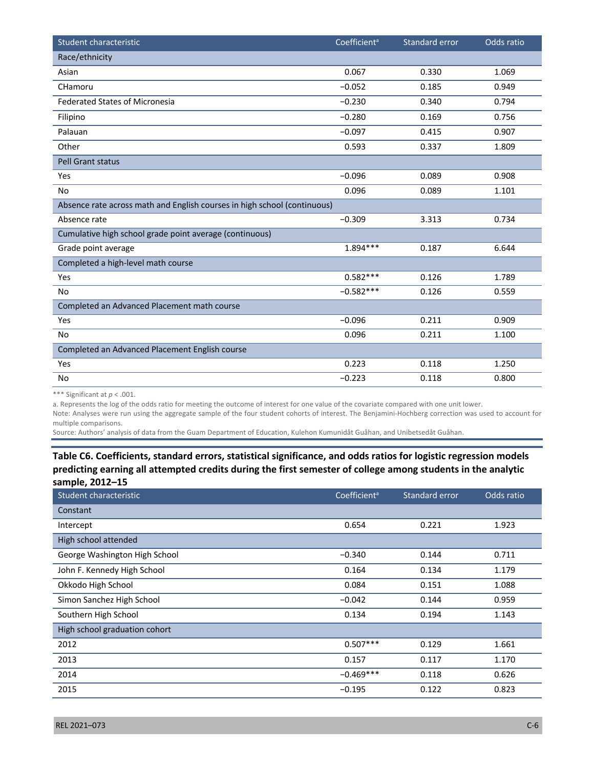| Student characteristic                                                   | Coefficient <sup>a</sup> | Standard error | Odds ratio |
|--------------------------------------------------------------------------|--------------------------|----------------|------------|
| Race/ethnicity                                                           |                          |                |            |
| Asian                                                                    | 0.067                    | 0.330          | 1.069      |
| CHamoru                                                                  | $-0.052$                 | 0.185          | 0.949      |
| <b>Federated States of Micronesia</b>                                    | $-0.230$                 | 0.340          | 0.794      |
| Filipino                                                                 | $-0.280$                 | 0.169          | 0.756      |
| Palauan                                                                  | $-0.097$                 | 0.415          | 0.907      |
| Other                                                                    | 0.593                    | 0.337          | 1.809      |
| <b>Pell Grant status</b>                                                 |                          |                |            |
| Yes                                                                      | $-0.096$                 | 0.089          | 0.908      |
| <b>No</b>                                                                | 0.096                    | 0.089          | 1.101      |
| Absence rate across math and English courses in high school (continuous) |                          |                |            |
| Absence rate                                                             | $-0.309$                 | 3.313          | 0.734      |
| Cumulative high school grade point average (continuous)                  |                          |                |            |
| Grade point average                                                      | $1.894***$               | 0.187          | 6.644      |
| Completed a high-level math course                                       |                          |                |            |
| Yes                                                                      | $0.582***$               | 0.126          | 1.789      |
| <b>No</b>                                                                | $-0.582***$              | 0.126          | 0.559      |
| Completed an Advanced Placement math course                              |                          |                |            |
| Yes                                                                      | $-0.096$                 | 0.211          | 0.909      |
| No                                                                       | 0.096                    | 0.211          | 1.100      |
| Completed an Advanced Placement English course                           |                          |                |            |
| Yes                                                                      | 0.223                    | 0.118          | 1.250      |
| No                                                                       | $-0.223$                 | 0.118          | 0.800      |

\*\*\* Significant at *p* < .001.

a. Represents the log of the odds ratio for meeting the outcome of interest for one value of the covariate compared with one unit lower.

Note: Analyses were run using the aggregate sample of the four student cohorts of interest. The Benjamini-Hochberg correction was used to account for multiple comparisons.

Source: Authors' analysis of data from the Guam Department of Education, Kulehon Kumunidåt Guåhan, and Unibetsedåt Guåhan.

## **Table C6. Coefficients, standard errors, statistical significance, and odds ratios for logistic regression models predicting earning all attempted credits during the first semester of college among students in the analytic sample, 2012–15**

| Student characteristic        | Coefficient <sup>a</sup> | Standard error | Odds ratio |
|-------------------------------|--------------------------|----------------|------------|
| Constant                      |                          |                |            |
| Intercept                     | 0.654                    | 0.221          | 1.923      |
| High school attended          |                          |                |            |
| George Washington High School | $-0.340$                 | 0.144          | 0.711      |
| John F. Kennedy High School   | 0.164                    | 0.134          | 1.179      |
| Okkodo High School            | 0.084                    | 0.151          | 1.088      |
| Simon Sanchez High School     | $-0.042$                 | 0.144          | 0.959      |
| Southern High School          | 0.134                    | 0.194          | 1.143      |
| High school graduation cohort |                          |                |            |
| 2012                          | $0.507***$               | 0.129          | 1.661      |
| 2013                          | 0.157                    | 0.117          | 1.170      |
| 2014                          | $-0.469***$              | 0.118          | 0.626      |
| 2015                          | $-0.195$                 | 0.122          | 0.823      |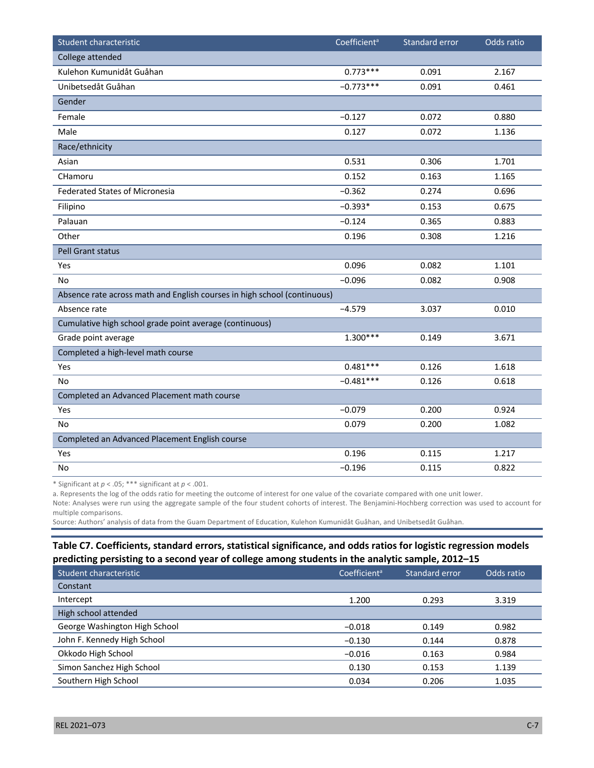| Student characteristic                                                   | Coefficient <sup>a</sup> | <b>Standard error</b> | Odds ratio |
|--------------------------------------------------------------------------|--------------------------|-----------------------|------------|
| College attended                                                         |                          |                       |            |
| Kulehon Kumunidåt Guåhan                                                 | $0.773***$               | 0.091                 | 2.167      |
| Unibetsedåt Guåhan                                                       | $-0.773***$              | 0.091                 | 0.461      |
| Gender                                                                   |                          |                       |            |
| Female                                                                   | $-0.127$                 | 0.072                 | 0.880      |
| Male                                                                     | 0.127                    | 0.072                 | 1.136      |
| Race/ethnicity                                                           |                          |                       |            |
| Asian                                                                    | 0.531                    | 0.306                 | 1.701      |
| CHamoru                                                                  | 0.152                    | 0.163                 | 1.165      |
| <b>Federated States of Micronesia</b>                                    | $-0.362$                 | 0.274                 | 0.696      |
| Filipino                                                                 | $-0.393*$                | 0.153                 | 0.675      |
| Palauan                                                                  | $-0.124$                 | 0.365                 | 0.883      |
| Other                                                                    | 0.196                    | 0.308                 | 1.216      |
| <b>Pell Grant status</b>                                                 |                          |                       |            |
| Yes                                                                      | 0.096                    | 0.082                 | 1.101      |
| No                                                                       | $-0.096$                 | 0.082                 | 0.908      |
| Absence rate across math and English courses in high school (continuous) |                          |                       |            |
| Absence rate                                                             | $-4.579$                 | 3.037                 | 0.010      |
| Cumulative high school grade point average (continuous)                  |                          |                       |            |
| Grade point average                                                      | $1.300***$               | 0.149                 | 3.671      |
| Completed a high-level math course                                       |                          |                       |            |
| Yes                                                                      | $0.481***$               | 0.126                 | 1.618      |
| No                                                                       | $-0.481***$              | 0.126                 | 0.618      |
| Completed an Advanced Placement math course                              |                          |                       |            |
| Yes                                                                      | $-0.079$                 | 0.200                 | 0.924      |
| <b>No</b>                                                                | 0.079                    | 0.200                 | 1.082      |
| Completed an Advanced Placement English course                           |                          |                       |            |
| Yes                                                                      | 0.196                    | 0.115                 | 1.217      |
| No                                                                       | $-0.196$                 | 0.115                 | 0.822      |

\* Significant at *p* < .05; \*\*\* significant at *p* < .001.

a. Represents the log of the odds ratio for meeting the outcome of interest for one value of the covariate compared with one unit lower. Note: Analyses were run using the aggregate sample of the four student cohorts of interest. The Benjamini-Hochberg correction was used to account for multiple comparisons.

Source: Authors' analysis of data from the Guam Department of Education, Kulehon Kumunidåt Guåhan, and Unibetsedåt Guåhan.

#### **Table C7. Coefficients, standard errors, statistical significance, and odds ratios for logistic regression models predicting persisting to a second year of college among students in the analytic sample, 2012–15**

| Student characteristic        | Coefficient <sup>a</sup> | Standard error | Odds ratio |
|-------------------------------|--------------------------|----------------|------------|
| Constant                      |                          |                |            |
| Intercept                     | 1.200                    | 0.293          | 3.319      |
| High school attended          |                          |                |            |
| George Washington High School | $-0.018$                 | 0.149          | 0.982      |
| John F. Kennedy High School   | $-0.130$                 | 0.144          | 0.878      |
| Okkodo High School            | $-0.016$                 | 0.163          | 0.984      |
| Simon Sanchez High School     | 0.130                    | 0.153          | 1.139      |
| Southern High School          | 0.034                    | 0.206          | 1.035      |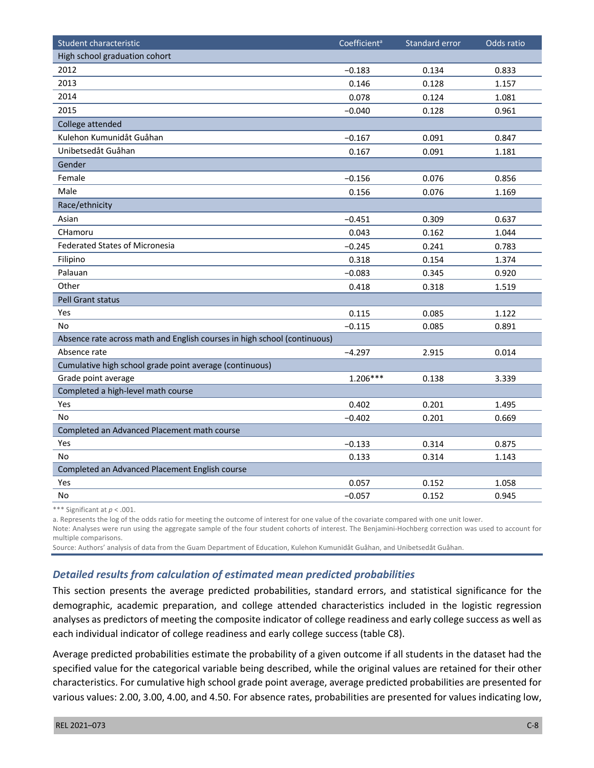| Student characteristic                                                   | Coefficient <sup>a</sup> | Standard error | Odds ratio |
|--------------------------------------------------------------------------|--------------------------|----------------|------------|
| High school graduation cohort                                            |                          |                |            |
| 2012                                                                     | $-0.183$                 | 0.134          | 0.833      |
| 2013                                                                     | 0.146                    | 0.128          | 1.157      |
| 2014                                                                     | 0.078                    | 0.124          | 1.081      |
| 2015                                                                     | $-0.040$                 | 0.128          | 0.961      |
| College attended                                                         |                          |                |            |
| Kulehon Kumunidåt Guåhan                                                 | $-0.167$                 | 0.091          | 0.847      |
| Unibetsedåt Guåhan                                                       | 0.167                    | 0.091          | 1.181      |
| Gender                                                                   |                          |                |            |
| Female                                                                   | $-0.156$                 | 0.076          | 0.856      |
| Male                                                                     | 0.156                    | 0.076          | 1.169      |
| Race/ethnicity                                                           |                          |                |            |
| Asian                                                                    | $-0.451$                 | 0.309          | 0.637      |
| CHamoru                                                                  | 0.043                    | 0.162          | 1.044      |
| <b>Federated States of Micronesia</b>                                    | $-0.245$                 | 0.241          | 0.783      |
| Filipino                                                                 | 0.318                    | 0.154          | 1.374      |
| Palauan                                                                  | $-0.083$                 | 0.345          | 0.920      |
| Other                                                                    | 0.418                    | 0.318          | 1.519      |
| <b>Pell Grant status</b>                                                 |                          |                |            |
| Yes                                                                      | 0.115                    | 0.085          | 1.122      |
| No                                                                       | $-0.115$                 | 0.085          | 0.891      |
| Absence rate across math and English courses in high school (continuous) |                          |                |            |
| Absence rate                                                             | $-4.297$                 | 2.915          | 0.014      |
| Cumulative high school grade point average (continuous)                  |                          |                |            |
| Grade point average                                                      | $1.206***$               | 0.138          | 3.339      |
| Completed a high-level math course                                       |                          |                |            |
| Yes                                                                      | 0.402                    | 0.201          | 1.495      |
| <b>No</b>                                                                | $-0.402$                 | 0.201          | 0.669      |
| Completed an Advanced Placement math course                              |                          |                |            |
| Yes                                                                      | $-0.133$                 | 0.314          | 0.875      |
| <b>No</b>                                                                | 0.133                    | 0.314          | 1.143      |
| Completed an Advanced Placement English course                           |                          |                |            |
| Yes                                                                      | 0.057                    | 0.152          | 1.058      |
| No                                                                       | $-0.057$                 | 0.152          | 0.945      |

\*\*\* Significant at *p* < .001.

a. Represents the log of the odds ratio for meeting the outcome of interest for one value of the covariate compared with one unit lower.

Note: Analyses were run using the aggregate sample of the four student cohorts of interest. The Benjamini-Hochberg correction was used to account for multiple comparisons.

Source: Authors' analysis of data from the Guam Department of Education, Kulehon Kumunidåt Guåhan, and Unibetsedåt Guåhan.

#### *Detailed results from calculation of estimated mean predicted probabilities*

This section presents the average predicted probabilities, standard errors, and statistical significance for the demographic, academic preparation, and college attended characteristics included in the logistic regression analyses as predictors of meeting the composite indicator of college readiness and early college success as well as each individual indicator of college readiness and early college success (table C8).

Average predicted probabilities estimate the probability of a given outcome if all students in the dataset had the specified value for the categorical variable being described, while the original values are retained for their other characteristics. For cumulative high school grade point average, average predicted probabilities are presented for various values: 2.00, 3.00, 4.00, and 4.50. For absence rates, probabilities are presented for values indicating low,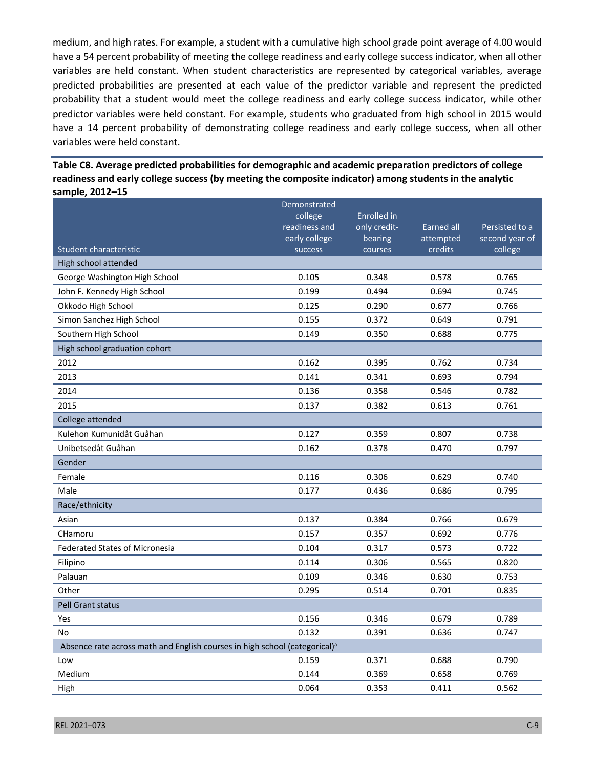medium, and high rates. For example, a student with a cumulative high school grade point average of 4.00 would have a 54 percent probability of meeting the college readiness and early college success indicator, when all other variables are held constant. When student characteristics are represented by categorical variables, average predicted probabilities are presented at each value of the predictor variable and represent the predicted probability that a student would meet the college readiness and early college success indicator, while other predictor variables were held constant. For example, students who graduated from high school in 2015 would have a 14 percent probability of demonstrating college readiness and early college success, when all other variables were held constant.

| Table C8. Average predicted probabilities for demographic and academic preparation predictors of college |
|----------------------------------------------------------------------------------------------------------|
| readiness and early college success (by meeting the composite indicator) among students in the analytic  |
| sample, 2012–15                                                                                          |

|                                                                                        | Demonstrated             |                    |                      |                           |
|----------------------------------------------------------------------------------------|--------------------------|--------------------|----------------------|---------------------------|
|                                                                                        | college                  | <b>Enrolled</b> in |                      |                           |
|                                                                                        | readiness and            | only credit-       | Earned all           | Persisted to a            |
| Student characteristic                                                                 | early college<br>success | bearing<br>courses | attempted<br>credits | second year of<br>college |
| High school attended                                                                   |                          |                    |                      |                           |
|                                                                                        | 0.105                    | 0.348              | 0.578                | 0.765                     |
| George Washington High School                                                          |                          |                    |                      |                           |
| John F. Kennedy High School                                                            | 0.199                    | 0.494              | 0.694                | 0.745                     |
| Okkodo High School                                                                     | 0.125                    | 0.290              | 0.677                | 0.766                     |
| Simon Sanchez High School                                                              | 0.155                    | 0.372              | 0.649                | 0.791                     |
| Southern High School                                                                   | 0.149                    | 0.350              | 0.688                | 0.775                     |
| High school graduation cohort                                                          |                          |                    |                      |                           |
| 2012                                                                                   | 0.162                    | 0.395              | 0.762                | 0.734                     |
| 2013                                                                                   | 0.141                    | 0.341              | 0.693                | 0.794                     |
| 2014                                                                                   | 0.136                    | 0.358              | 0.546                | 0.782                     |
| 2015                                                                                   | 0.137                    | 0.382              | 0.613                | 0.761                     |
| College attended                                                                       |                          |                    |                      |                           |
| Kulehon Kumunidåt Guåhan                                                               | 0.127                    | 0.359              | 0.807                | 0.738                     |
| Unibetsedåt Guåhan                                                                     | 0.162                    | 0.378              | 0.470                | 0.797                     |
| Gender                                                                                 |                          |                    |                      |                           |
| Female                                                                                 | 0.116                    | 0.306              | 0.629                | 0.740                     |
| Male                                                                                   | 0.177                    | 0.436              | 0.686                | 0.795                     |
| Race/ethnicity                                                                         |                          |                    |                      |                           |
| Asian                                                                                  | 0.137                    | 0.384              | 0.766                | 0.679                     |
| CHamoru                                                                                | 0.157                    | 0.357              | 0.692                | 0.776                     |
| <b>Federated States of Micronesia</b>                                                  | 0.104                    | 0.317              | 0.573                | 0.722                     |
| Filipino                                                                               | 0.114                    | 0.306              | 0.565                | 0.820                     |
| Palauan                                                                                | 0.109                    | 0.346              | 0.630                | 0.753                     |
| Other                                                                                  | 0.295                    | 0.514              | 0.701                | 0.835                     |
| Pell Grant status                                                                      |                          |                    |                      |                           |
| Yes                                                                                    | 0.156                    | 0.346              | 0.679                | 0.789                     |
| No                                                                                     | 0.132                    | 0.391              | 0.636                | 0.747                     |
| Absence rate across math and English courses in high school (categorical) <sup>a</sup> |                          |                    |                      |                           |
| Low                                                                                    | 0.159                    | 0.371              | 0.688                | 0.790                     |
| Medium                                                                                 | 0.144                    | 0.369              | 0.658                | 0.769                     |
| High                                                                                   | 0.064                    | 0.353              | 0.411                | 0.562                     |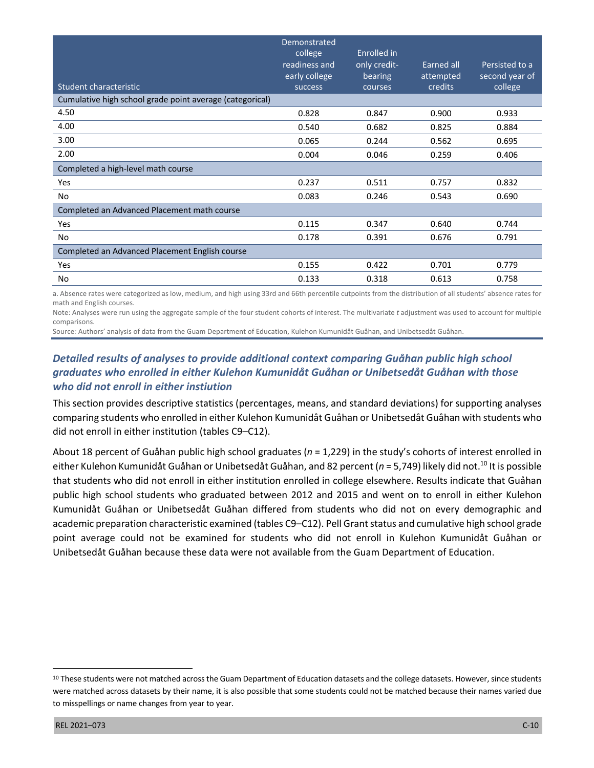|                                                          | Demonstrated<br>college<br>readiness and<br>early college | Enrolled in<br>only credit-<br>bearing | Earned all<br>attempted | Persisted to a<br>second year of |
|----------------------------------------------------------|-----------------------------------------------------------|----------------------------------------|-------------------------|----------------------------------|
| Student characteristic                                   | success                                                   | courses                                | <b>credits</b>          | college                          |
| Cumulative high school grade point average (categorical) |                                                           |                                        |                         |                                  |
| 4.50                                                     | 0.828                                                     | 0.847                                  | 0.900                   | 0.933                            |
| 4.00                                                     | 0.540                                                     | 0.682                                  | 0.825                   | 0.884                            |
| 3.00                                                     | 0.065                                                     | 0.244                                  | 0.562                   | 0.695                            |
| 2.00                                                     | 0.004                                                     | 0.046                                  | 0.259                   | 0.406                            |
| Completed a high-level math course                       |                                                           |                                        |                         |                                  |
| Yes                                                      | 0.237                                                     | 0.511                                  | 0.757                   | 0.832                            |
| No                                                       | 0.083                                                     | 0.246                                  | 0.543                   | 0.690                            |
| Completed an Advanced Placement math course              |                                                           |                                        |                         |                                  |
| Yes                                                      | 0.115                                                     | 0.347                                  | 0.640                   | 0.744                            |
| No                                                       | 0.178                                                     | 0.391                                  | 0.676                   | 0.791                            |
| Completed an Advanced Placement English course           |                                                           |                                        |                         |                                  |
| Yes                                                      | 0.155                                                     | 0.422                                  | 0.701                   | 0.779                            |
| No                                                       | 0.133                                                     | 0.318                                  | 0.613                   | 0.758                            |

a. Absence rates were categorized as low, medium, and high using 33rd and 66th percentile cutpoints from the distribution of all students' absence rates for math and English courses.

Note: Analyses were run using the aggregate sample of the four student cohorts of interest. The multivariate *t* adjustment was used to account for multiple comparisons.

Source*:* Authors' analysis of data from the Guam Department of Education, Kulehon Kumunidåt Guåhan, and Unibetsedåt Guåhan.

# *Detailed results of analyses to provide additional context comparing Guåhan public high school graduates who enrolled in either Kulehon Kumunidåt Guåhan or Unibetsedåt Guåhan with those who did not enroll in either instiution*

This section provides descriptive statistics (percentages, means, and standard deviations) for supporting analyses comparing students who enrolled in either Kulehon Kumunidåt Guåhan or Unibetsedåt Guåhan with students who did not enroll in either institution (tables C9–C12).

About 18 percent of Guåhan public high school graduates (*n* = 1,229) in the study's cohorts of interest enrolled in either Kulehon Kumunidåt Guåhan or Unibetsedåt Guåhan, and 82 percent (*n* = 5,749) likely did not.10 It is possible that students who did not enroll in either institution enrolled in college elsewhere. Results indicate that Guåhan public high school students who graduated between 2012 and 2015 and went on to enroll in either Kulehon Kumunidåt Guåhan or Unibetsedåt Guåhan differed from students who did not on every demographic and academic preparation characteristic examined (tables C9–C12). Pell Grant status and cumulative high school grade point average could not be examined for students who did not enroll in Kulehon Kumunidåt Guåhan or Unibetsedåt Guåhan because these data were not available from the Guam Department of Education.

<sup>10</sup> These students were not matched across the Guam Department of Education datasets and the college datasets. However, since students were matched across datasets by their name, it is also possible that some students could not be matched because their names varied due to misspellings or name changes from year to year.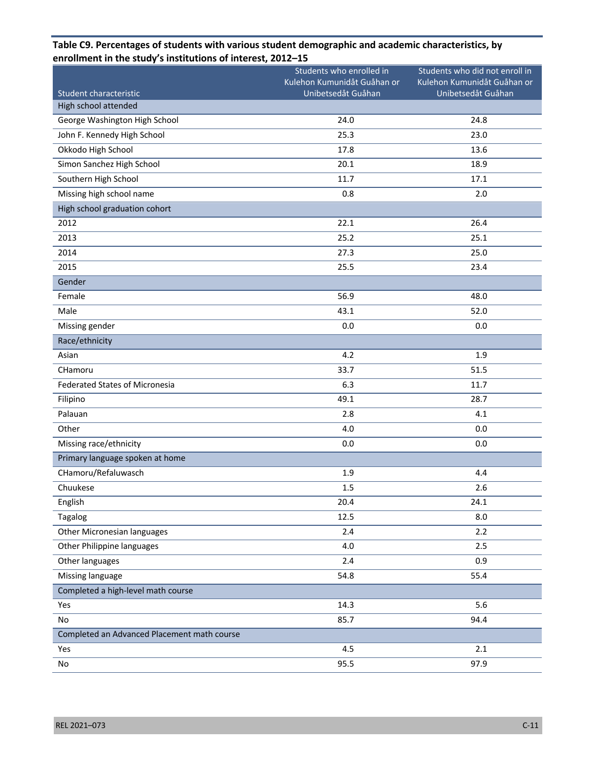# Student characteristic Students who enrolled in Kulehon Kumunidåt Guåhan or Unibetsedåt Guåhan Students who did not enroll in Kulehon Kumunidåt Guåhan or Unibetsedåt Guåhan High school attended George Washington High School 24.8 22.0 24.8 22.0 John F. Kennedy High School 25.3 23.0 Okkodo High School 17.8 13.6 Simon Sanchez High School 20.1 20.1 18.9 Southern High School 11.7 17.1 Missing high school name **1.2.0 and 2.0** 2.0 **2.0** 2.0 **2.0** 2.0 **2.0** 2.0 **2.0** 2.0 **2.0** 2.0 **2.0** 2.0 **2.0** 2.0 **2.0** 2.0 **2.0** 2.0 **2.0** 2.0 **2.0** 2.0 **2.0** 2.0 **2.0** 2.0 **2.0** 2.0 **2.0** 2.0 **2.0** 2.0 **2.0** 2.0 **2.0** 2 High school graduation cohort  $2012$  22.1 26.4 2013 25.2 25.1 2014 27.3 25.0  $2015$  23.4 Gender Female 56.9 48.0 Male 52.0 Missing gender 0.0 0.0 Race/ethnicity Asian  $\overline{a}$  and  $\overline{a}$  and  $\overline{a}$  and  $\overline{a}$  and  $\overline{a}$  and  $\overline{a}$  and  $\overline{a}$  and  $\overline{a}$  and  $\overline{a}$  and  $\overline{a}$  and  $\overline{a}$  and  $\overline{a}$  and  $\overline{a}$  and  $\overline{a}$  and  $\overline{a}$  and  $\overline{a}$  and  $\overline{a}$ CHamoru 33.7 51.5 Federated States of Micronesia 6.3 6.3 11.7 Filipino 49.1 28.7 Palauan 2.8 4.1 Other 4.0 0.0 Missing race/ethnicity 0.0 0.0 Primary language spoken at home CHamoru/Refaluwasch 1.9 4.4 Chuukese 1.5 2.6 English 20.4 24.1 Tagalog 12.5 8.0 Other Micronesian languages 2.4 2.2 Other Philippine languages and the control of the control of the control of the control of the control of the control of the control of the control of the control of the control of the control of the control of the control Other languages 0.9 Missing language 65.4 September 2014 and the set of the set of the set of the set of the set of the set of the set of the set of the set of the set of the set of the set of the set of the set of the set of the set of the s Completed a high-level math course  $Y$ es 2003 - 2004 - 2005 - 2006 - 2007 - 2008 - 2008 - 2008 - 2008 - 2008 - 2008 - 2008 - 2008 - 2008 - 2008 - 2008 - 2008 - 2008 - 2008 - 2008 - 2008 - 2008 - 2008 - 2008 - 2008 - 2008 - 2008 - 2008 - 2008 - 2008 - 2008 No  $85.7$  94.4 Completed an Advanced Placement math course  $Y$ es 2.1

No  $95.5$  97.9

#### **Table C9. Percentages of students with various student demographic and academic characteristics, by enrollment in the study's institutions of interest, 2012–15**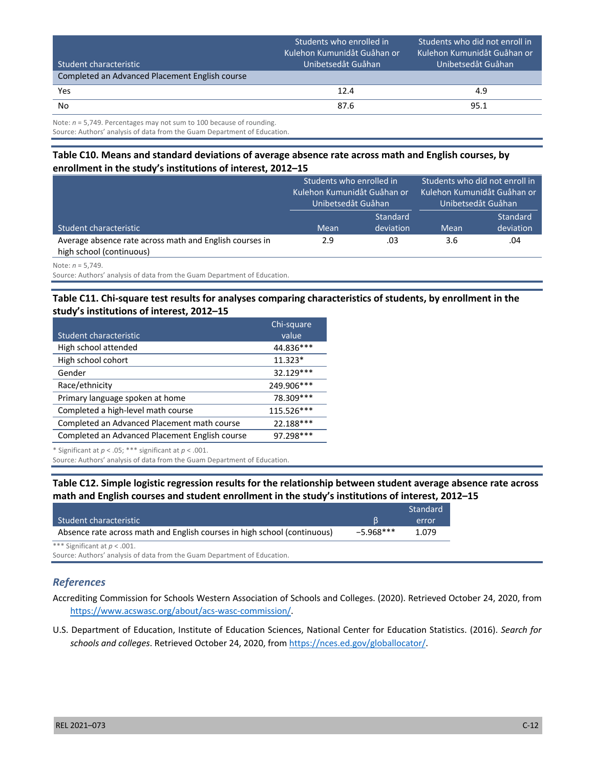| Student characteristic                                                  | Students who enrolled in<br>Kulehon Kumunidåt Guåhan or<br>Unibetsedåt Guåhan | Students who did not enroll in<br>Kulehon Kumunidåt Guåhan or<br>IUnibetsedåt Guåhan <sup>I</sup> |
|-------------------------------------------------------------------------|-------------------------------------------------------------------------------|---------------------------------------------------------------------------------------------------|
| Completed an Advanced Placement English course                          |                                                                               |                                                                                                   |
| Yes                                                                     | 12.4                                                                          | 4.9                                                                                               |
| No                                                                      | 87.6                                                                          | 95.1                                                                                              |
| Note: $n = 5.749$ . Percentages may not sum to 100 because of rounding. |                                                                               |                                                                                                   |

Source: Authors' analysis of data from the Guam Department of Education.

#### **Table C10. Means and standard deviations of average absence rate across math and English courses, by enrollment in the study's institutions of interest, 2012–15**

|                                                                                     | Students who enrolled in<br>Kulehon Kumunidåt Guåhan or<br>Unibetsedåt Guåhan |                       | Students who did not enroll in<br>Kulehon Kumunidåt Guåhan or<br>Unibetsedåt Guåhan |                              |
|-------------------------------------------------------------------------------------|-------------------------------------------------------------------------------|-----------------------|-------------------------------------------------------------------------------------|------------------------------|
| Student characteristic                                                              | Mean                                                                          | Standard<br>deviation | Mean                                                                                | <b>Standard</b><br>deviation |
| Average absence rate across math and English courses in<br>high school (continuous) | 2.9                                                                           | .03                   | 3.6                                                                                 | .04                          |

Note: *n* = 5,749.

Source: Authors' analysis of data from the Guam Department of Education.

#### **Table C11. Chi-square test results for analyses comparing characteristics of students, by enrollment in the study's institutions of interest, 2012–15**

|                                                | Chi-square |
|------------------------------------------------|------------|
| Student characteristic                         | value      |
| High school attended                           | 44.836***  |
| High school cohort                             | $11.323*$  |
| Gender                                         | 32.129 *** |
| Race/ethnicity                                 | 249.906*** |
| Primary language spoken at home                | 78.309 *** |
| Completed a high-level math course             | 115.526*** |
| Completed an Advanced Placement math course    | 22.188***  |
| Completed an Advanced Placement English course | 97.298***  |

\* Significant at *p* < .05; \*\*\* significant at *p* < .001.

Source*:* Authors' analysis of data from the Guam Department of Education.

#### **Table C12. Simple logistic regression results for the relationship between student average absence rate across math and English courses and student enrollment in the study's institutions of interest, 2012–15**

|                                                                          |             | Standard |
|--------------------------------------------------------------------------|-------------|----------|
| Student characteristic                                                   |             | error    |
| Absence rate across math and English courses in high school (continuous) | $-5.968***$ | 1.079    |

\*\*\* Significant at *p* < .001.

Source: Authors' analysis of data from the Guam Department of Education.

#### *References*

Accrediting Commission for Schools Western Association of Schools and Colleges. (2020). Retrieved October 24, 2020, from <https://www.acswasc.org/about/acs-wasc-commission/>.

U.S. Department of Education, Institute of Education Sciences, National Center for Education Statistics. (2016). *Search for schools and colleges*. Retrieved October 24, 2020, from [https://nces.ed.gov/globallocator/.](https://nces.ed.gov/globallocator/)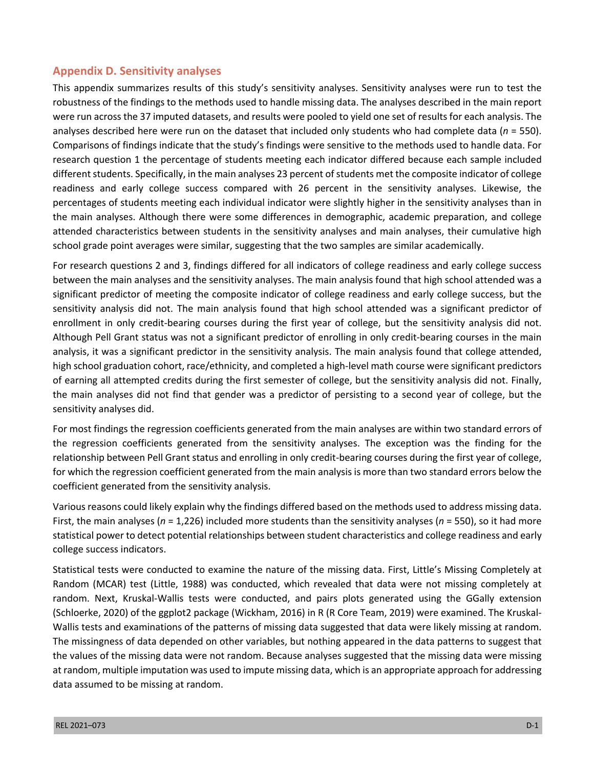## **Appendix D. Sensitivity analyses**

This appendix summarizes results of this study's sensitivity analyses. Sensitivity analyses were run to test the robustness of the findings to the methods used to handle missing data. The analyses described in the main report were run across the 37 imputed datasets, and results were pooled to yield one set of results for each analysis. The analyses described here were run on the dataset that included only students who had complete data (*n* = 550). Comparisons of findings indicate that the study's findings were sensitive to the methods used to handle data. For research question 1 the percentage of students meeting each indicator differed because each sample included different students. Specifically, in the main analyses 23 percent of students met the composite indicator of college readiness and early college success compared with 26 percent in the sensitivity analyses. Likewise, the percentages of students meeting each individual indicator were slightly higher in the sensitivity analyses than in the main analyses. Although there were some differences in demographic, academic preparation, and college attended characteristics between students in the sensitivity analyses and main analyses, their cumulative high school grade point averages were similar, suggesting that the two samples are similar academically.

For research questions 2 and 3, findings differed for all indicators of college readiness and early college success between the main analyses and the sensitivity analyses. The main analysis found that high school attended was a significant predictor of meeting the composite indicator of college readiness and early college success, but the sensitivity analysis did not. The main analysis found that high school attended was a significant predictor of enrollment in only credit-bearing courses during the first year of college, but the sensitivity analysis did not. Although Pell Grant status was not a significant predictor of enrolling in only credit-bearing courses in the main analysis, it was a significant predictor in the sensitivity analysis. The main analysis found that college attended, high school graduation cohort, race/ethnicity, and completed a high-level math course were significant predictors of earning all attempted credits during the first semester of college, but the sensitivity analysis did not. Finally, the main analyses did not find that gender was a predictor of persisting to a second year of college, but the sensitivity analyses did.

For most findings the regression coefficients generated from the main analyses are within two standard errors of the regression coefficients generated from the sensitivity analyses. The exception was the finding for the relationship between Pell Grant status and enrolling in only credit-bearing courses during the first year of college, for which the regression coefficient generated from the main analysis is more than two standard errors below the coefficient generated from the sensitivity analysis.

Various reasons could likely explain why the findings differed based on the methods used to address missing data. First, the main analyses (*n* = 1,226) included more students than the sensitivity analyses (*n* = 550), so it had more statistical power to detect potential relationships between student characteristics and college readiness and early college success indicators.

Statistical tests were conducted to examine the nature of the missing data. First, Little's Missing Completely at Random (MCAR) test (Little, 1988) was conducted, which revealed that data were not missing completely at random. Next, Kruskal-Wallis tests were conducted, and pairs plots generated using the GGally extension (Schloerke, 2020) of the ggplot2 package (Wickham, 2016) in R (R Core Team, 2019) were examined. The Kruskal-Wallis tests and examinations of the patterns of missing data suggested that data were likely missing at random. The missingness of data depended on other variables, but nothing appeared in the data patterns to suggest that the values of the missing data were not random. Because analyses suggested that the missing data were missing at random, multiple imputation was used to impute missing data, which is an appropriate approach for addressing data assumed to be missing at random.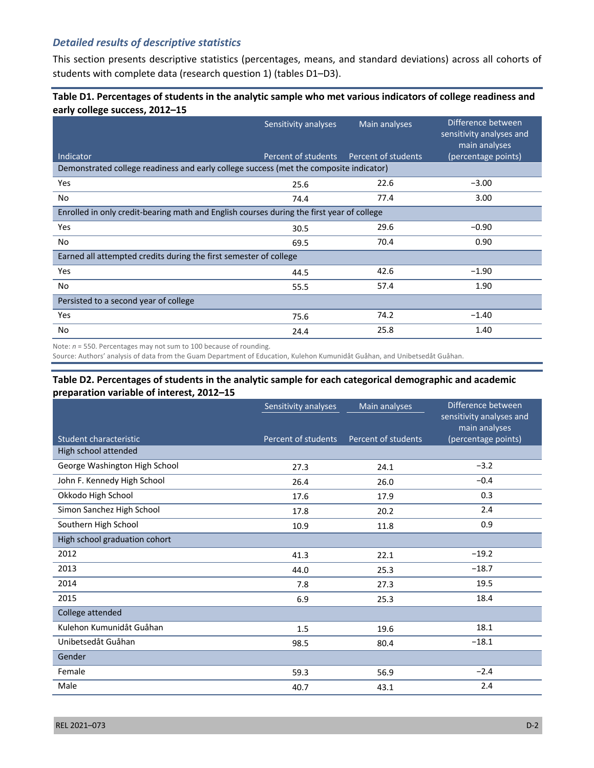# *Detailed results of descriptive statistics*

This section presents descriptive statistics (percentages, means, and standard deviations) across all cohorts of students with complete data (research question 1) (tables D1–D3).

#### **Table D1. Percentages of students in the analytic sample who met various indicators of college readiness and early college success, 2012–15**

|                                                                                           | Sensitivity analyses | Main analyses       | Difference between<br>sensitivity analyses and<br>main analyses |
|-------------------------------------------------------------------------------------------|----------------------|---------------------|-----------------------------------------------------------------|
| Indicator                                                                                 | Percent of students  | Percent of students | (percentage points)                                             |
| Demonstrated college readiness and early college success (met the composite indicator)    |                      |                     |                                                                 |
| Yes                                                                                       | 25.6                 | 22.6                | $-3.00$                                                         |
| No                                                                                        | 74.4                 | 77.4                | 3.00                                                            |
| Enrolled in only credit-bearing math and English courses during the first year of college |                      |                     |                                                                 |
| Yes                                                                                       | 30.5                 | 29.6                | $-0.90$                                                         |
| No                                                                                        | 69.5                 | 70.4                | 0.90                                                            |
| Earned all attempted credits during the first semester of college                         |                      |                     |                                                                 |
| Yes                                                                                       | 44.5                 | 42.6                | $-1.90$                                                         |
| No.                                                                                       | 55.5                 | 57.4                | 1.90                                                            |
| Persisted to a second year of college                                                     |                      |                     |                                                                 |
| <b>Yes</b>                                                                                | 75.6                 | 74.2                | $-1.40$                                                         |
| No.                                                                                       | 24.4                 | 25.8                | 1.40                                                            |

Note: *n* = 550. Percentages may not sum to 100 because of rounding.

Source: Authors' analysis of data from the Guam Department of Education, Kulehon Kumunidåt Guåhan, and Unibetsedåt Guåhan.

#### **Table D2. Percentages of students in the analytic sample for each categorical demographic and academic preparation variable of interest, 2012–15**

|                               | Sensitivity analyses | Main analyses       | Difference between<br>sensitivity analyses and |
|-------------------------------|----------------------|---------------------|------------------------------------------------|
| Student characteristic        | Percent of students  | Percent of students | main analyses<br>(percentage points)           |
| High school attended          |                      |                     |                                                |
| George Washington High School | 27.3                 | 24.1                | $-3.2$                                         |
| John F. Kennedy High School   | 26.4                 | 26.0                | $-0.4$                                         |
| Okkodo High School            | 17.6                 | 17.9                | 0.3                                            |
| Simon Sanchez High School     | 17.8                 | 20.2                | 2.4                                            |
| Southern High School          | 10.9                 | 11.8                | 0.9                                            |
| High school graduation cohort |                      |                     |                                                |
| 2012                          | 41.3                 | 22.1                | $-19.2$                                        |
| 2013                          | 44.0                 | 25.3                | $-18.7$                                        |
| 2014                          | 7.8                  | 27.3                | 19.5                                           |
| 2015                          | 6.9                  | 25.3                | 18.4                                           |
| College attended              |                      |                     |                                                |
| Kulehon Kumunidåt Guåhan      | 1.5                  | 19.6                | 18.1                                           |
| Unibetsedåt Guåhan            | 98.5                 | 80.4                | $-18.1$                                        |
| Gender                        |                      |                     |                                                |
| Female                        | 59.3                 | 56.9                | $-2.4$                                         |
| Male                          | 40.7                 | 43.1                | 2.4                                            |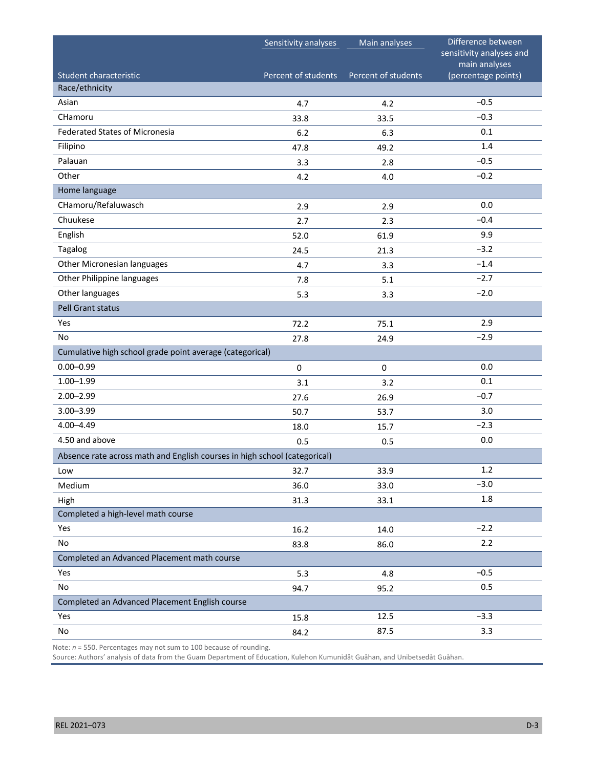|                                                                           | Sensitivity analyses | Main analyses       | Difference between                        |
|---------------------------------------------------------------------------|----------------------|---------------------|-------------------------------------------|
|                                                                           |                      |                     | sensitivity analyses and<br>main analyses |
| Student characteristic                                                    | Percent of students  | Percent of students | (percentage points)                       |
| Race/ethnicity                                                            |                      |                     |                                           |
| Asian                                                                     | 4.7                  | 4.2                 | $-0.5$                                    |
| CHamoru                                                                   | 33.8                 | 33.5                | $-0.3$                                    |
| <b>Federated States of Micronesia</b>                                     | 6.2                  | 6.3                 | 0.1                                       |
| Filipino                                                                  | 47.8                 | 49.2                | 1.4                                       |
| Palauan                                                                   | 3.3                  | 2.8                 | $-0.5$                                    |
| Other                                                                     | 4.2                  | 4.0                 | $-0.2$                                    |
| Home language                                                             |                      |                     |                                           |
| CHamoru/Refaluwasch                                                       | 2.9                  | 2.9                 | 0.0                                       |
| Chuukese                                                                  | 2.7                  | 2.3                 | $-0.4$                                    |
| English                                                                   | 52.0                 | 61.9                | 9.9                                       |
| Tagalog                                                                   | 24.5                 | 21.3                | $-3.2$                                    |
| Other Micronesian languages                                               | 4.7                  | 3.3                 | $-1.4$                                    |
| Other Philippine languages                                                | 7.8                  | 5.1                 | $-2.7$                                    |
| Other languages                                                           | 5.3                  | 3.3                 | $-2.0$                                    |
| Pell Grant status                                                         |                      |                     |                                           |
| Yes                                                                       | 72.2                 | 75.1                | 2.9                                       |
| No                                                                        | 27.8                 | 24.9                | $-2.9$                                    |
| Cumulative high school grade point average (categorical)                  |                      |                     |                                           |
| $0.00 - 0.99$                                                             | $\mathbf 0$          | $\pmb{0}$           | 0.0                                       |
| $1.00 - 1.99$                                                             | 3.1                  | 3.2                 | 0.1                                       |
| $2.00 - 2.99$                                                             | 27.6                 | 26.9                | $-0.7$                                    |
| $3.00 - 3.99$                                                             | 50.7                 | 53.7                | 3.0                                       |
| $4.00 - 4.49$                                                             | 18.0                 | 15.7                | $-2.3$                                    |
| 4.50 and above                                                            | 0.5                  | 0.5                 | 0.0                                       |
| Absence rate across math and English courses in high school (categorical) |                      |                     |                                           |
| Low                                                                       | 32.7                 | 33.9                | 1.2                                       |
| Medium                                                                    | 36.0                 | 33.0                | $-3.0$                                    |
| High                                                                      | 31.3                 | 33.1                | $1.8\,$                                   |
| Completed a high-level math course                                        |                      |                     |                                           |
| Yes                                                                       | 16.2                 | 14.0                | $-2.2$                                    |
| No                                                                        | 83.8                 | 86.0                | 2.2                                       |
| Completed an Advanced Placement math course                               |                      |                     |                                           |
| Yes                                                                       | 5.3                  | 4.8                 | $-0.5$                                    |
| No                                                                        | 94.7                 | 95.2                | 0.5                                       |
| Completed an Advanced Placement English course                            |                      |                     |                                           |
| Yes                                                                       | 15.8                 | 12.5                | $-3.3$                                    |
| No                                                                        | 84.2                 | 87.5                | 3.3                                       |

Note: *n* = 550. Percentages may not sum to 100 because of rounding.

Source: Authors' analysis of data from the Guam Department of Education, Kulehon Kumunidåt Guåhan, and Unibetsedåt Guåhan.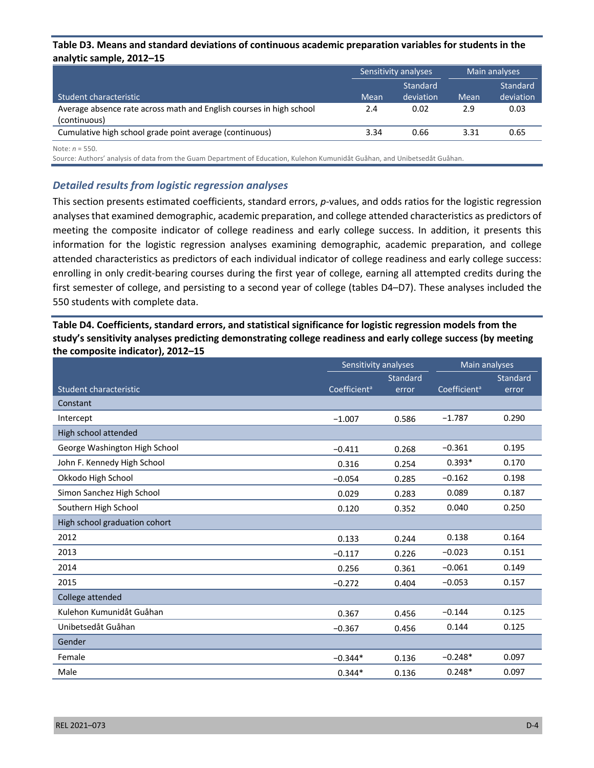#### **Table D3. Means and standard deviations of continuous academic preparation variables for students in the analytic sample, 2012–15**

|                                                                                     |      | Sensitivity analyses  |      | Main analyses         |
|-------------------------------------------------------------------------------------|------|-----------------------|------|-----------------------|
| Student characteristic                                                              | Mean | Standard<br>deviation | Mean | Standard<br>deviation |
| Average absence rate across math and English courses in high school<br>(continuous) | 2.4  | 0.02                  | 2.9  | 0.03                  |
| Cumulative high school grade point average (continuous)                             | 3.34 | 0.66                  | 3.31 | 0.65                  |
|                                                                                     |      |                       |      |                       |

Note: *n* = 550.

Source: Authors' analysis of data from the Guam Department of Education, Kulehon Kumunidåt Guåhan, and Unibetsedåt Guåhan.

#### *Detailed results from logistic regression analyses*

This section presents estimated coefficients, standard errors, *p*-values, and odds ratios for the logistic regression analyses that examined demographic, academic preparation, and college attended characteristics as predictors of meeting the composite indicator of college readiness and early college success. In addition, it presents this information for the logistic regression analyses examining demographic, academic preparation, and college attended characteristics as predictors of each individual indicator of college readiness and early college success: enrolling in only credit-bearing courses during the first year of college, earning all attempted credits during the first semester of college, and persisting to a second year of college (tables D4–D7). These analyses included the 550 students with complete data.

**Table D4. Coefficients, standard errors, and statistical significance for logistic regression models from the study's sensitivity analyses predicting demonstrating college readiness and early college success (by meeting the composite indicator), 2012–15**

|                               | Sensitivity analyses     |          | Main analyses            |                 |
|-------------------------------|--------------------------|----------|--------------------------|-----------------|
|                               |                          | Standard |                          | <b>Standard</b> |
| Student characteristic        | Coefficient <sup>a</sup> | error    | Coefficient <sup>a</sup> | error           |
| Constant                      |                          |          |                          |                 |
| Intercept                     | $-1.007$                 | 0.586    | $-1.787$                 | 0.290           |
| High school attended          |                          |          |                          |                 |
| George Washington High School | $-0.411$                 | 0.268    | $-0.361$                 | 0.195           |
| John F. Kennedy High School   | 0.316                    | 0.254    | $0.393*$                 | 0.170           |
| Okkodo High School            | $-0.054$                 | 0.285    | $-0.162$                 | 0.198           |
| Simon Sanchez High School     | 0.029                    | 0.283    | 0.089                    | 0.187           |
| Southern High School          | 0.120                    | 0.352    | 0.040                    | 0.250           |
| High school graduation cohort |                          |          |                          |                 |
| 2012                          | 0.133                    | 0.244    | 0.138                    | 0.164           |
| 2013                          | $-0.117$                 | 0.226    | $-0.023$                 | 0.151           |
| 2014                          | 0.256                    | 0.361    | $-0.061$                 | 0.149           |
| 2015                          | $-0.272$                 | 0.404    | $-0.053$                 | 0.157           |
| College attended              |                          |          |                          |                 |
| Kulehon Kumunidåt Guåhan      | 0.367                    | 0.456    | $-0.144$                 | 0.125           |
| Unibetsedåt Guåhan            | $-0.367$                 | 0.456    | 0.144                    | 0.125           |
| Gender                        |                          |          |                          |                 |
| Female                        | $-0.344*$                | 0.136    | $-0.248*$                | 0.097           |
| Male                          | $0.344*$                 | 0.136    | $0.248*$                 | 0.097           |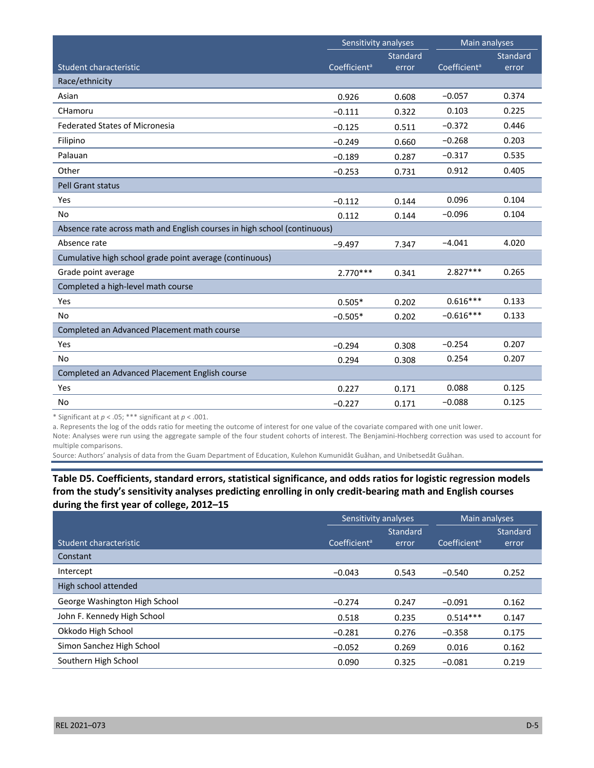|                                                                          | Sensitivity analyses     |                 | Main analyses            |          |
|--------------------------------------------------------------------------|--------------------------|-----------------|--------------------------|----------|
|                                                                          |                          | <b>Standard</b> |                          | Standard |
| Student characteristic                                                   | Coefficient <sup>a</sup> | error           | Coefficient <sup>a</sup> | error    |
| Race/ethnicity                                                           |                          |                 |                          |          |
| Asian                                                                    | 0.926                    | 0.608           | $-0.057$                 | 0.374    |
| CHamoru                                                                  | $-0.111$                 | 0.322           | 0.103                    | 0.225    |
| <b>Federated States of Micronesia</b>                                    | $-0.125$                 | 0.511           | $-0.372$                 | 0.446    |
| Filipino                                                                 | $-0.249$                 | 0.660           | $-0.268$                 | 0.203    |
| Palauan                                                                  | $-0.189$                 | 0.287           | $-0.317$                 | 0.535    |
| Other                                                                    | $-0.253$                 | 0.731           | 0.912                    | 0.405    |
| <b>Pell Grant status</b>                                                 |                          |                 |                          |          |
| Yes                                                                      | $-0.112$                 | 0.144           | 0.096                    | 0.104    |
| No                                                                       | 0.112                    | 0.144           | $-0.096$                 | 0.104    |
| Absence rate across math and English courses in high school (continuous) |                          |                 |                          |          |
| Absence rate                                                             | $-9.497$                 | 7.347           | $-4.041$                 | 4.020    |
| Cumulative high school grade point average (continuous)                  |                          |                 |                          |          |
| Grade point average                                                      | $2.770***$               | 0.341           | 2.827***                 | 0.265    |
| Completed a high-level math course                                       |                          |                 |                          |          |
| Yes                                                                      | $0.505*$                 | 0.202           | $0.616***$               | 0.133    |
| No                                                                       | $-0.505*$                | 0.202           | $-0.616***$              | 0.133    |
| Completed an Advanced Placement math course                              |                          |                 |                          |          |
| Yes                                                                      | $-0.294$                 | 0.308           | $-0.254$                 | 0.207    |
| <b>No</b>                                                                | 0.294                    | 0.308           | 0.254                    | 0.207    |
| Completed an Advanced Placement English course                           |                          |                 |                          |          |
| Yes                                                                      | 0.227                    | 0.171           | 0.088                    | 0.125    |
| <b>No</b>                                                                | $-0.227$                 | 0.171           | $-0.088$                 | 0.125    |

\* Significant at *p* < .05; \*\*\* significant at *p* < .001.

a. Represents the log of the odds ratio for meeting the outcome of interest for one value of the covariate compared with one unit lower.

Note: Analyses were run using the aggregate sample of the four student cohorts of interest. The Benjamini-Hochberg correction was used to account for multiple comparisons.

Source: Authors' analysis of data from the Guam Department of Education, Kulehon Kumunidåt Guåhan, and Unibetsedåt Guåhan.

## **Table D5. Coefficients, standard errors, statistical significance, and odds ratios for logistic regression models from the study's sensitivity analyses predicting enrolling in only credit-bearing math and English courses during the first year of college, 2012–15**

|                               | Sensitivity analyses     |                 | Main analyses            |                 |
|-------------------------------|--------------------------|-----------------|--------------------------|-----------------|
|                               |                          | <b>Standard</b> |                          | <b>Standard</b> |
| Student characteristic        | Coefficient <sup>a</sup> | error           | Coefficient <sup>a</sup> | error           |
| Constant                      |                          |                 |                          |                 |
| Intercept                     | $-0.043$                 | 0.543           | $-0.540$                 | 0.252           |
| High school attended          |                          |                 |                          |                 |
| George Washington High School | $-0.274$                 | 0.247           | $-0.091$                 | 0.162           |
| John F. Kennedy High School   | 0.518                    | 0.235           | $0.514***$               | 0.147           |
| Okkodo High School            | $-0.281$                 | 0.276           | $-0.358$                 | 0.175           |
| Simon Sanchez High School     | $-0.052$                 | 0.269           | 0.016                    | 0.162           |
| Southern High School          | 0.090                    | 0.325           | $-0.081$                 | 0.219           |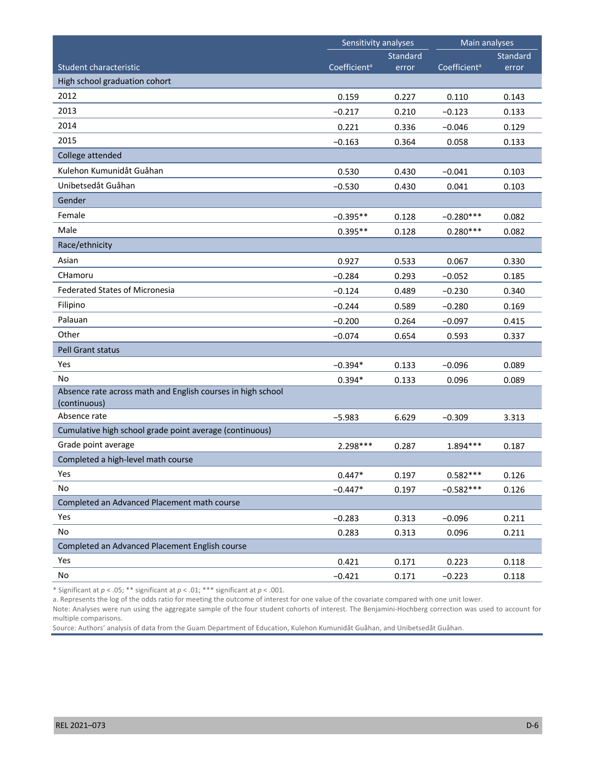|                                                                             | Sensitivity analyses     |          | Main analyses            |          |
|-----------------------------------------------------------------------------|--------------------------|----------|--------------------------|----------|
|                                                                             |                          | Standard |                          | Standard |
| Student characteristic                                                      | Coefficient <sup>a</sup> | error    | Coefficient <sup>a</sup> | error    |
| High school graduation cohort                                               |                          |          |                          |          |
| 2012                                                                        | 0.159                    | 0.227    | 0.110                    | 0.143    |
| 2013                                                                        | $-0.217$                 | 0.210    | $-0.123$                 | 0.133    |
| 2014                                                                        | 0.221                    | 0.336    | $-0.046$                 | 0.129    |
| 2015                                                                        | $-0.163$                 | 0.364    | 0.058                    | 0.133    |
| College attended                                                            |                          |          |                          |          |
| Kulehon Kumunidåt Guåhan                                                    | 0.530                    | 0.430    | $-0.041$                 | 0.103    |
| Unibetsedåt Guåhan                                                          | $-0.530$                 | 0.430    | 0.041                    | 0.103    |
| Gender                                                                      |                          |          |                          |          |
| Female                                                                      | $-0.395**$               | 0.128    | $-0.280***$              | 0.082    |
| Male                                                                        | $0.395**$                | 0.128    | $0.280***$               | 0.082    |
| Race/ethnicity                                                              |                          |          |                          |          |
| Asian                                                                       | 0.927                    | 0.533    | 0.067                    | 0.330    |
| CHamoru                                                                     | $-0.284$                 | 0.293    | $-0.052$                 | 0.185    |
| <b>Federated States of Micronesia</b>                                       | $-0.124$                 | 0.489    | $-0.230$                 | 0.340    |
| Filipino                                                                    | $-0.244$                 | 0.589    | $-0.280$                 | 0.169    |
| Palauan                                                                     | $-0.200$                 | 0.264    | $-0.097$                 | 0.415    |
| Other                                                                       | $-0.074$                 | 0.654    | 0.593                    | 0.337    |
| Pell Grant status                                                           |                          |          |                          |          |
| Yes                                                                         | $-0.394*$                | 0.133    | $-0.096$                 | 0.089    |
| No                                                                          | $0.394*$                 | 0.133    | 0.096                    | 0.089    |
| Absence rate across math and English courses in high school<br>(continuous) |                          |          |                          |          |
| Absence rate                                                                | $-5.983$                 | 6.629    | $-0.309$                 | 3.313    |
| Cumulative high school grade point average (continuous)                     |                          |          |                          |          |
| Grade point average                                                         | 2.298***                 | 0.287    | 1.894 ***                | 0.187    |
| Completed a high-level math course                                          |                          |          |                          |          |
| Yes                                                                         | $0.447*$                 | 0.197    | $0.582***$               | 0.126    |
| No                                                                          | $-0.447*$                | 0.197    | $-0.582***$              | 0.126    |
| Completed an Advanced Placement math course                                 |                          |          |                          |          |
| Yes                                                                         | $-0.283$                 | 0.313    | $-0.096$                 | 0.211    |
| No                                                                          | 0.283                    | 0.313    | 0.096                    | 0.211    |
| Completed an Advanced Placement English course                              |                          |          |                          |          |
| Yes                                                                         | 0.421                    | 0.171    | 0.223                    | 0.118    |
| No                                                                          | $-0.421$                 | 0.171    | $-0.223$                 | 0.118    |

\* Significant at *p* < .05; \*\* significant at *p* < .01; \*\*\* significant at *p* < .001.

a. Represents the log of the odds ratio for meeting the outcome of interest for one value of the covariate compared with one unit lower.

Note: Analyses were run using the aggregate sample of the four student cohorts of interest. The Benjamini-Hochberg correction was used to account for multiple comparisons.

Source: Authors' analysis of data from the Guam Department of Education, Kulehon Kumunidåt Guåhan, and Unibetsedåt Guåhan.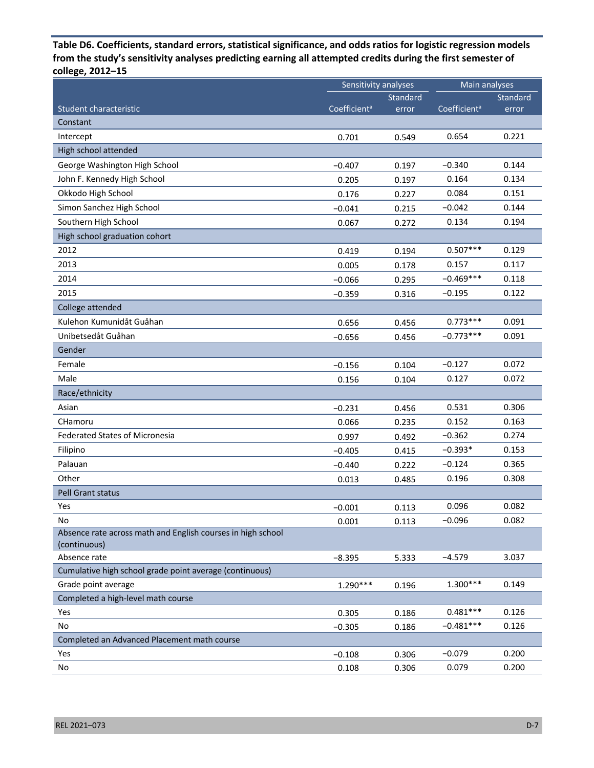**Table D6. Coefficients, standard errors, statistical significance, and odds ratios for logistic regression models from the study's sensitivity analyses predicting earning all attempted credits during the first semester of college, 2012–15**

|                                                                             | Sensitivity analyses     |          | Main analyses            |          |
|-----------------------------------------------------------------------------|--------------------------|----------|--------------------------|----------|
|                                                                             |                          | Standard |                          | Standard |
| Student characteristic                                                      | Coefficient <sup>a</sup> | error    | Coefficient <sup>a</sup> | error    |
| Constant                                                                    |                          |          |                          |          |
| Intercept                                                                   | 0.701                    | 0.549    | 0.654                    | 0.221    |
| High school attended                                                        |                          |          |                          |          |
| George Washington High School                                               | $-0.407$                 | 0.197    | $-0.340$                 | 0.144    |
| John F. Kennedy High School                                                 | 0.205                    | 0.197    | 0.164                    | 0.134    |
| Okkodo High School                                                          | 0.176                    | 0.227    | 0.084                    | 0.151    |
| Simon Sanchez High School                                                   | $-0.041$                 | 0.215    | $-0.042$                 | 0.144    |
| Southern High School                                                        | 0.067                    | 0.272    | 0.134                    | 0.194    |
| High school graduation cohort                                               |                          |          |                          |          |
| 2012                                                                        | 0.419                    | 0.194    | $0.507***$               | 0.129    |
| 2013                                                                        | 0.005                    | 0.178    | 0.157                    | 0.117    |
| 2014                                                                        | $-0.066$                 | 0.295    | $-0.469***$              | 0.118    |
| 2015                                                                        | $-0.359$                 | 0.316    | $-0.195$                 | 0.122    |
| College attended                                                            |                          |          |                          |          |
| Kulehon Kumunidåt Guåhan                                                    | 0.656                    | 0.456    | $0.773***$               | 0.091    |
| Unibetsedåt Guåhan                                                          | $-0.656$                 | 0.456    | $-0.773***$              | 0.091    |
| Gender                                                                      |                          |          |                          |          |
| Female                                                                      | $-0.156$                 | 0.104    | $-0.127$                 | 0.072    |
| Male                                                                        | 0.156                    | 0.104    | 0.127                    | 0.072    |
| Race/ethnicity                                                              |                          |          |                          |          |
| Asian                                                                       | $-0.231$                 | 0.456    | 0.531                    | 0.306    |
| CHamoru                                                                     | 0.066                    | 0.235    | 0.152                    | 0.163    |
| <b>Federated States of Micronesia</b>                                       | 0.997                    | 0.492    | $-0.362$                 | 0.274    |
| Filipino                                                                    | $-0.405$                 | 0.415    | $-0.393*$                | 0.153    |
| Palauan                                                                     | $-0.440$                 | 0.222    | $-0.124$                 | 0.365    |
| Other                                                                       | 0.013                    | 0.485    | 0.196                    | 0.308    |
| Pell Grant status                                                           |                          |          |                          |          |
| Yes                                                                         | $-0.001$                 | 0.113    | 0.096                    | 0.082    |
| No                                                                          | 0.001                    | 0.113    | $-0.096$                 | 0.082    |
| Absence rate across math and English courses in high school<br>(continuous) |                          |          |                          |          |
| Absence rate                                                                | $-8.395$                 | 5.333    | $-4.579$                 | 3.037    |
| Cumulative high school grade point average (continuous)                     |                          |          |                          |          |
| Grade point average                                                         | $1.290***$               | 0.196    | $1.300***$               | 0.149    |
| Completed a high-level math course                                          |                          |          |                          |          |
| Yes                                                                         | 0.305                    | 0.186    | $0.481***$               | 0.126    |
| No                                                                          | $-0.305$                 | 0.186    | $-0.481***$              | 0.126    |
| Completed an Advanced Placement math course                                 |                          |          |                          |          |
| Yes                                                                         | $-0.108$                 | 0.306    | $-0.079$                 | 0.200    |
| No                                                                          | 0.108                    | 0.306    | 0.079                    | 0.200    |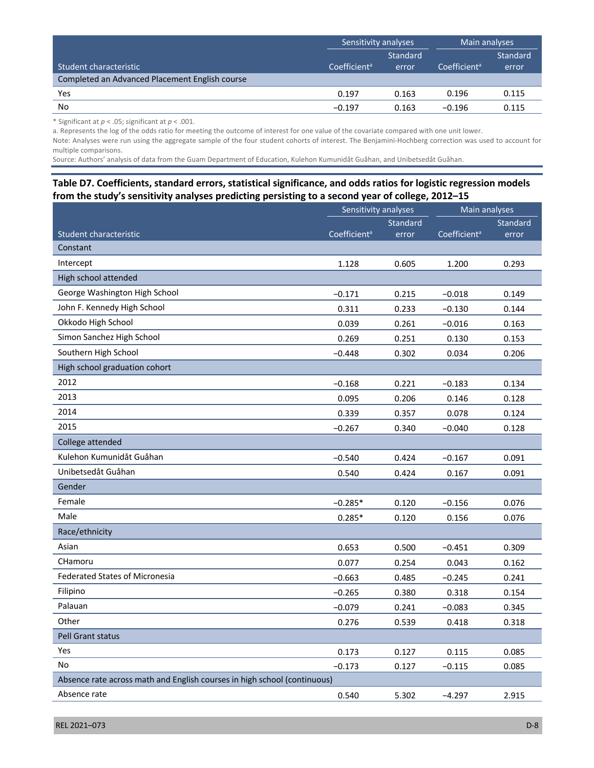|                                                | Sensitivity analyses     |          | Main analyses            |          |
|------------------------------------------------|--------------------------|----------|--------------------------|----------|
|                                                |                          | Standard |                          | Standard |
| Student characteristic                         | Coefficient <sup>a</sup> | error    | Coefficient <sup>a</sup> | error    |
| Completed an Advanced Placement English course |                          |          |                          |          |
| Yes                                            | 0.197                    | 0.163    | 0.196                    | 0.115    |
| No                                             | $-0.197$                 | 0.163    | $-0.196$                 | 0.115    |

\* Significant at *p* < .05; significant at *p* < .001.

a. Represents the log of the odds ratio for meeting the outcome of interest for one value of the covariate compared with one unit lower.

Note: Analyses were run using the aggregate sample of the four student cohorts of interest. The Benjamini-Hochberg correction was used to account for multiple comparisons.

Source: Authors' analysis of data from the Guam Department of Education, Kulehon Kumunidåt Guåhan, and Unibetsedåt Guåhan.

#### **Table D7. Coefficients, standard errors, statistical significance, and odds ratios for logistic regression models from the study's sensitivity analyses predicting persisting to a second year of college, 2012–15**

|                                                                          | Sensitivity analyses     |          | Main analyses            |          |
|--------------------------------------------------------------------------|--------------------------|----------|--------------------------|----------|
|                                                                          |                          | Standard |                          | Standard |
| Student characteristic                                                   | Coefficient <sup>a</sup> | error    | Coefficient <sup>a</sup> | error    |
| Constant                                                                 |                          |          |                          |          |
| Intercept                                                                | 1.128                    | 0.605    | 1.200                    | 0.293    |
| High school attended                                                     |                          |          |                          |          |
| George Washington High School                                            | $-0.171$                 | 0.215    | $-0.018$                 | 0.149    |
| John F. Kennedy High School                                              | 0.311                    | 0.233    | $-0.130$                 | 0.144    |
| Okkodo High School                                                       | 0.039                    | 0.261    | $-0.016$                 | 0.163    |
| Simon Sanchez High School                                                | 0.269                    | 0.251    | 0.130                    | 0.153    |
| Southern High School                                                     | $-0.448$                 | 0.302    | 0.034                    | 0.206    |
| High school graduation cohort                                            |                          |          |                          |          |
| 2012                                                                     | $-0.168$                 | 0.221    | $-0.183$                 | 0.134    |
| 2013                                                                     | 0.095                    | 0.206    | 0.146                    | 0.128    |
| 2014                                                                     | 0.339                    | 0.357    | 0.078                    | 0.124    |
| 2015                                                                     | $-0.267$                 | 0.340    | $-0.040$                 | 0.128    |
| College attended                                                         |                          |          |                          |          |
| Kulehon Kumunidåt Guåhan                                                 | $-0.540$                 | 0.424    | $-0.167$                 | 0.091    |
| Unibetsedåt Guåhan                                                       | 0.540                    | 0.424    | 0.167                    | 0.091    |
| Gender                                                                   |                          |          |                          |          |
| Female                                                                   | $-0.285*$                | 0.120    | $-0.156$                 | 0.076    |
| Male                                                                     | $0.285*$                 | 0.120    | 0.156                    | 0.076    |
| Race/ethnicity                                                           |                          |          |                          |          |
| Asian                                                                    | 0.653                    | 0.500    | $-0.451$                 | 0.309    |
| CHamoru                                                                  | 0.077                    | 0.254    | 0.043                    | 0.162    |
| <b>Federated States of Micronesia</b>                                    | $-0.663$                 | 0.485    | $-0.245$                 | 0.241    |
| Filipino                                                                 | $-0.265$                 | 0.380    | 0.318                    | 0.154    |
| Palauan                                                                  | $-0.079$                 | 0.241    | $-0.083$                 | 0.345    |
| Other                                                                    | 0.276                    | 0.539    | 0.418                    | 0.318    |
| <b>Pell Grant status</b>                                                 |                          |          |                          |          |
| Yes                                                                      | 0.173                    | 0.127    | 0.115                    | 0.085    |
| No                                                                       | $-0.173$                 | 0.127    | $-0.115$                 | 0.085    |
| Absence rate across math and English courses in high school (continuous) |                          |          |                          |          |
| Absence rate                                                             | 0.540                    | 5.302    | $-4.297$                 | 2.915    |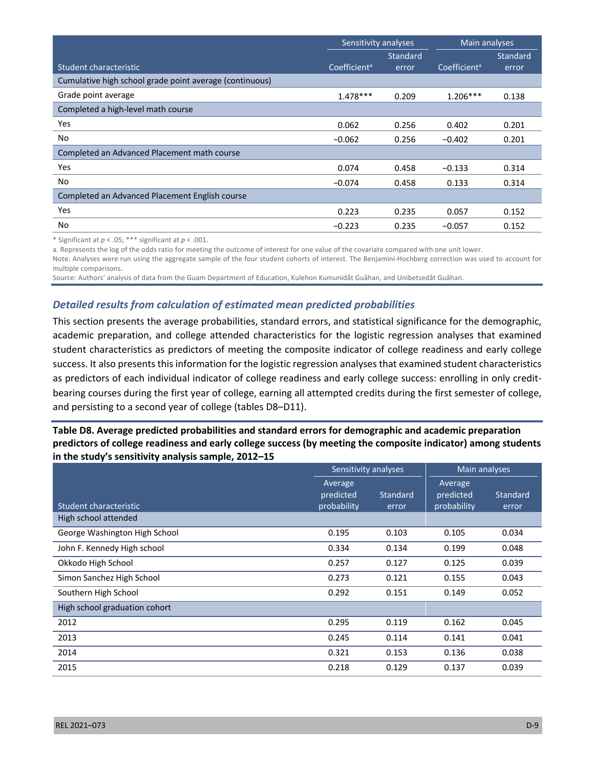|                                                         | Sensitivity analyses     |                 | Main analyses            |                 |
|---------------------------------------------------------|--------------------------|-----------------|--------------------------|-----------------|
|                                                         |                          | <b>Standard</b> |                          | <b>Standard</b> |
| Student characteristic                                  | Coefficient <sup>a</sup> | error           | Coefficient <sup>a</sup> | error           |
| Cumulative high school grade point average (continuous) |                          |                 |                          |                 |
| Grade point average                                     | $1.478***$               | 0.209           | $1.206***$               | 0.138           |
| Completed a high-level math course                      |                          |                 |                          |                 |
| Yes                                                     | 0.062                    | 0.256           | 0.402                    | 0.201           |
| No                                                      | $-0.062$                 | 0.256           | $-0.402$                 | 0.201           |
| Completed an Advanced Placement math course             |                          |                 |                          |                 |
| Yes                                                     | 0.074                    | 0.458           | $-0.133$                 | 0.314           |
| No.                                                     | $-0.074$                 | 0.458           | 0.133                    | 0.314           |
| Completed an Advanced Placement English course          |                          |                 |                          |                 |
| Yes                                                     | 0.223                    | 0.235           | 0.057                    | 0.152           |
| No                                                      | $-0.223$                 | 0.235           | $-0.057$                 | 0.152           |

\* Significant at *p* < .05; \*\*\* significant at *p* < .001.

a. Represents the log of the odds ratio for meeting the outcome of interest for one value of the covariate compared with one unit lower.

Note: Analyses were run using the aggregate sample of the four student cohorts of interest. The Benjamini-Hochberg correction was used to account for multiple comparisons.

Source: Authors' analysis of data from the Guam Department of Education, Kulehon Kumunidåt Guåhan, and Unibetsedåt Guåhan.

#### *Detailed results from calculation of estimated mean predicted probabilities*

This section presents the average probabilities, standard errors, and statistical significance for the demographic, academic preparation, and college attended characteristics for the logistic regression analyses that examined student characteristics as predictors of meeting the composite indicator of college readiness and early college success. It also presents this information for the logistic regression analyses that examined student characteristics as predictors of each individual indicator of college readiness and early college success: enrolling in only creditbearing courses during the first year of college, earning all attempted credits during the first semester of college, and persisting to a second year of college (tables D8–D11).

**Table D8. Average predicted probabilities and standard errors for demographic and academic preparation predictors of college readiness and early college success (by meeting the composite indicator) among students in the study's sensitivity analysis sample, 2012–15** 

|                               | Sensitivity analyses                |                   | <b>Main analyses</b>                |                   |
|-------------------------------|-------------------------------------|-------------------|-------------------------------------|-------------------|
| Student characteristic        | Average<br>predicted<br>probability | Standard<br>error | Average<br>predicted<br>probability | Standard<br>error |
| High school attended          |                                     |                   |                                     |                   |
| George Washington High School | 0.195                               | 0.103             | 0.105                               | 0.034             |
| John F. Kennedy High school   | 0.334                               | 0.134             | 0.199                               | 0.048             |
| Okkodo High School            | 0.257                               | 0.127             | 0.125                               | 0.039             |
| Simon Sanchez High School     | 0.273                               | 0.121             | 0.155                               | 0.043             |
| Southern High School          | 0.292                               | 0.151             | 0.149                               | 0.052             |
| High school graduation cohort |                                     |                   |                                     |                   |
| 2012                          | 0.295                               | 0.119             | 0.162                               | 0.045             |
| 2013                          | 0.245                               | 0.114             | 0.141                               | 0.041             |
| 2014                          | 0.321                               | 0.153             | 0.136                               | 0.038             |
| 2015                          | 0.218                               | 0.129             | 0.137                               | 0.039             |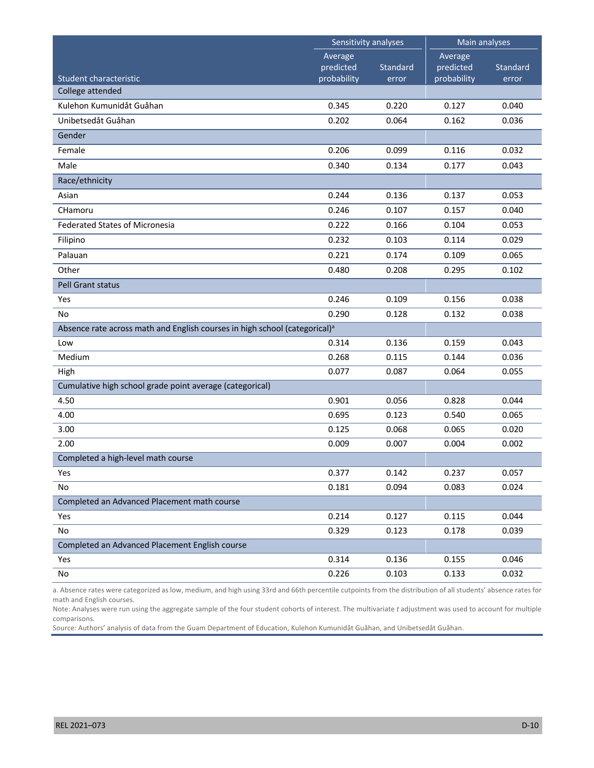|                                                                                        | Sensitivity analyses                |                   | Main analyses                       |                   |
|----------------------------------------------------------------------------------------|-------------------------------------|-------------------|-------------------------------------|-------------------|
| Student characteristic                                                                 | Average<br>predicted<br>probability | Standard<br>error | Average<br>predicted<br>probability | Standard<br>error |
| College attended                                                                       |                                     |                   |                                     |                   |
| Kulehon Kumunidåt Guåhan                                                               | 0.345                               | 0.220             | 0.127                               | 0.040             |
| Unibetsedåt Guåhan                                                                     | 0.202                               | 0.064             | 0.162                               | 0.036             |
| Gender                                                                                 |                                     |                   |                                     |                   |
| Female                                                                                 | 0.206                               | 0.099             | 0.116                               | 0.032             |
| Male                                                                                   | 0.340                               | 0.134             | 0.177                               | 0.043             |
| Race/ethnicity                                                                         |                                     |                   |                                     |                   |
| Asian                                                                                  | 0.244                               | 0.136             | 0.137                               | 0.053             |
| CHamoru                                                                                | 0.246                               | 0.107             | 0.157                               | 0.040             |
| <b>Federated States of Micronesia</b>                                                  | 0.222                               | 0.166             | 0.104                               | 0.053             |
| Filipino                                                                               | 0.232                               | 0.103             | 0.114                               | 0.029             |
| Palauan                                                                                | 0.221                               | 0.174             | 0.109                               | 0.065             |
| Other                                                                                  | 0.480                               | 0.208             | 0.295                               | 0.102             |
| Pell Grant status                                                                      |                                     |                   |                                     |                   |
| Yes                                                                                    | 0.246                               | 0.109             | 0.156                               | 0.038             |
| No                                                                                     | 0.290                               | 0.128             | 0.132                               | 0.038             |
| Absence rate across math and English courses in high school (categorical) <sup>a</sup> |                                     |                   |                                     |                   |
| Low                                                                                    | 0.314                               | 0.136             | 0.159                               | 0.043             |
| Medium                                                                                 | 0.268                               | 0.115             | 0.144                               | 0.036             |
| High                                                                                   | 0.077                               | 0.087             | 0.064                               | 0.055             |
| Cumulative high school grade point average (categorical)                               |                                     |                   |                                     |                   |
| 4.50                                                                                   | 0.901                               | 0.056             | 0.828                               | 0.044             |
| 4.00                                                                                   | 0.695                               | 0.123             | 0.540                               | 0.065             |
| 3.00                                                                                   | 0.125                               | 0.068             | 0.065                               | 0.020             |
| 2.00                                                                                   | 0.009                               | 0.007             | 0.004                               | 0.002             |
| Completed a high-level math course                                                     |                                     |                   |                                     |                   |
| Yes                                                                                    | 0.377                               | 0.142             | 0.237                               | 0.057             |
| No                                                                                     | 0.181                               | 0.094             | 0.083                               | 0.024             |
| Completed an Advanced Placement math course                                            |                                     |                   |                                     |                   |
| Yes                                                                                    | 0.214                               | 0.127             | 0.115                               | 0.044             |
| No                                                                                     | 0.329                               | 0.123             | 0.178                               | 0.039             |
| Completed an Advanced Placement English course                                         |                                     |                   |                                     |                   |
| Yes                                                                                    | 0.314                               | 0.136             | 0.155                               | 0.046             |
| No                                                                                     | 0.226                               | 0.103             | 0.133                               | 0.032             |

a. Absence rates were categorized as low, medium, and high using 33rd and 66th percentile cutpoints from the distribution of all students' absence rates for math and English courses.

Note: Analyses were run using the aggregate sample of the four student cohorts of interest. The multivariate *t* adjustment was used to account for multiple comparisons.

Source*:* Authors' analysis of data from the Guam Department of Education, Kulehon Kumunidåt Guåhan, and Unibetsedåt Guåhan.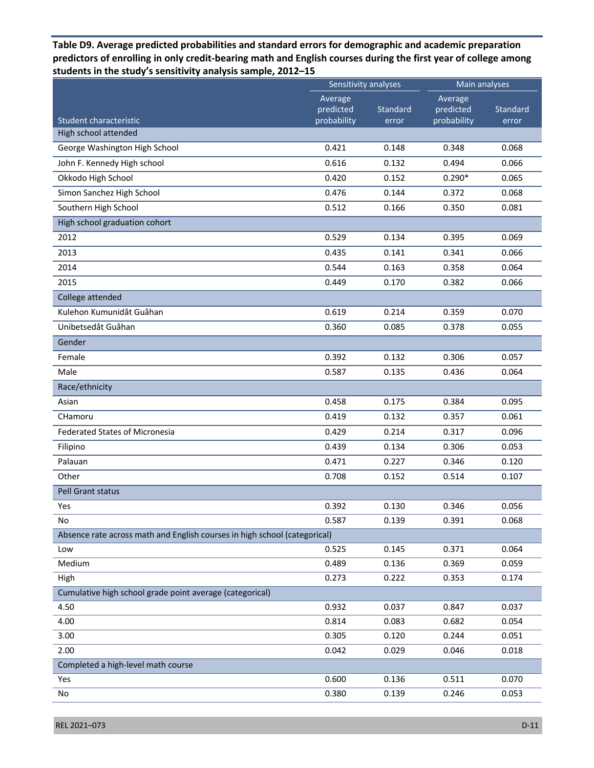**Table D9. Average predicted probabilities and standard errors for demographic and academic preparation predictors of enrolling in only credit-bearing math and English courses during the first year of college among students in the study's sensitivity analysis sample, 2012–15** 

|                                                                           | Sensitivity analyses |                | Main analyses        |          |
|---------------------------------------------------------------------------|----------------------|----------------|----------------------|----------|
|                                                                           | Average<br>predicted | Standard       | Average<br>predicted | Standard |
| Student characteristic<br>High school attended                            | probability          | error          | probability          | error    |
| George Washington High School                                             | 0.421                | 0.148          | 0.348                | 0.068    |
| John F. Kennedy High school                                               | 0.616                | 0.132          | 0.494                | 0.066    |
| Okkodo High School                                                        | 0.420                | 0.152          | $0.290*$             | 0.065    |
| Simon Sanchez High School                                                 | 0.476                | 0.144          | 0.372                | 0.068    |
| Southern High School                                                      | 0.512                | 0.166          | 0.350                | 0.081    |
| High school graduation cohort                                             |                      |                |                      |          |
| 2012                                                                      | 0.529                | 0.134          | 0.395                | 0.069    |
| 2013                                                                      | 0.435                | 0.141          | 0.341                | 0.066    |
| 2014                                                                      | 0.544                | 0.163          | 0.358                | 0.064    |
|                                                                           |                      |                |                      |          |
| 2015                                                                      | 0.449                | 0.170          | 0.382                | 0.066    |
| College attended<br>Kulehon Kumunidåt Guåhan                              |                      |                |                      |          |
| Unibetsedåt Guåhan                                                        | 0.619<br>0.360       | 0.214<br>0.085 | 0.359                | 0.070    |
| Gender                                                                    |                      |                | 0.378                | 0.055    |
|                                                                           |                      |                |                      |          |
| Female                                                                    | 0.392                | 0.132          | 0.306                | 0.057    |
| Male                                                                      | 0.587                | 0.135          | 0.436                | 0.064    |
| Race/ethnicity                                                            |                      |                |                      |          |
| Asian                                                                     | 0.458                | 0.175          | 0.384                | 0.095    |
| CHamoru                                                                   | 0.419                | 0.132          | 0.357                | 0.061    |
| <b>Federated States of Micronesia</b>                                     | 0.429                | 0.214          | 0.317                | 0.096    |
| Filipino                                                                  | 0.439                | 0.134          | 0.306                | 0.053    |
| Palauan                                                                   | 0.471                | 0.227          | 0.346                | 0.120    |
| Other                                                                     | 0.708                | 0.152          | 0.514                | 0.107    |
| <b>Pell Grant status</b>                                                  |                      |                |                      |          |
| Yes                                                                       | 0.392                | 0.130          | 0.346                | 0.056    |
| No                                                                        | 0.587                | 0.139          | 0.391                | 0.068    |
| Absence rate across math and English courses in high school (categorical) |                      |                |                      |          |
| Low                                                                       | 0.525                | 0.145          | 0.371                | 0.064    |
| Medium                                                                    | 0.489                | 0.136          | 0.369                | 0.059    |
| High                                                                      | 0.273                | 0.222          | 0.353                | 0.174    |
| Cumulative high school grade point average (categorical)                  |                      |                |                      |          |
| 4.50                                                                      | 0.932                | 0.037          | 0.847                | 0.037    |
| 4.00                                                                      | 0.814                | 0.083          | 0.682                | 0.054    |
| 3.00                                                                      | 0.305                | 0.120          | 0.244                | 0.051    |
| 2.00                                                                      | 0.042                | 0.029          | 0.046                | 0.018    |
| Completed a high-level math course                                        |                      |                |                      |          |
| Yes                                                                       | 0.600                | 0.136          | 0.511                | 0.070    |
| No                                                                        | 0.380                | 0.139          | 0.246                | 0.053    |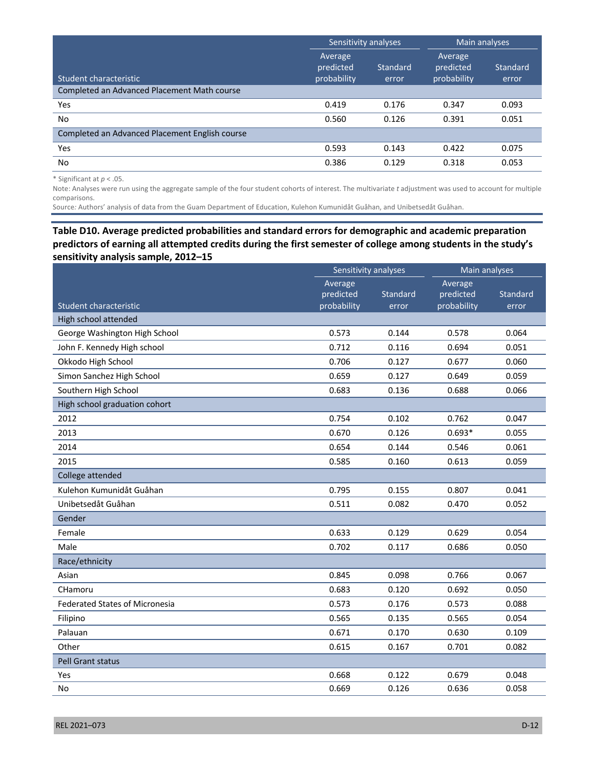|                                                | Sensitivity analyses                |                          | Main analyses                       |                          |
|------------------------------------------------|-------------------------------------|--------------------------|-------------------------------------|--------------------------|
| Student characteristic                         | Average<br>predicted<br>probability | <b>Standard</b><br>error | Average<br>predicted<br>probability | <b>Standard</b><br>error |
| Completed an Advanced Placement Math course    |                                     |                          |                                     |                          |
| Yes                                            | 0.419                               | 0.176                    | 0.347                               | 0.093                    |
| <b>No</b>                                      | 0.560                               | 0.126                    | 0.391                               | 0.051                    |
| Completed an Advanced Placement English course |                                     |                          |                                     |                          |
| Yes                                            | 0.593                               | 0.143                    | 0.422                               | 0.075                    |
| No.                                            | 0.386                               | 0.129                    | 0.318                               | 0.053                    |

\* Significant at *p* < .05.

Note: Analyses were run using the aggregate sample of the four student cohorts of interest. The multivariate *t* adjustment was used to account for multiple comparisons.

Source*:* Authors' analysis of data from the Guam Department of Education, Kulehon Kumunidåt Guåhan, and Unibetsedåt Guåhan.

# **Table D10. Average predicted probabilities and standard errors for demographic and academic preparation predictors of earning all attempted credits during the first semester of college among students in the study's sensitivity analysis sample, 2012–15**

|                                       | Sensitivity analyses |          | Main analyses |          |
|---------------------------------------|----------------------|----------|---------------|----------|
|                                       | Average              |          | Average       |          |
|                                       | predicted            | Standard | predicted     | Standard |
| Student characteristic                | probability          | error    | probability   | error    |
| High school attended                  | 0.573                | 0.144    | 0.578         | 0.064    |
| George Washington High School         |                      |          |               |          |
| John F. Kennedy High school           | 0.712                | 0.116    | 0.694         | 0.051    |
| Okkodo High School                    | 0.706                | 0.127    | 0.677         | 0.060    |
| Simon Sanchez High School             | 0.659                | 0.127    | 0.649         | 0.059    |
| Southern High School                  | 0.683                | 0.136    | 0.688         | 0.066    |
| High school graduation cohort         |                      |          |               |          |
| 2012                                  | 0.754                | 0.102    | 0.762         | 0.047    |
| 2013                                  | 0.670                | 0.126    | $0.693*$      | 0.055    |
| 2014                                  | 0.654                | 0.144    | 0.546         | 0.061    |
| 2015                                  | 0.585                | 0.160    | 0.613         | 0.059    |
| College attended                      |                      |          |               |          |
| Kulehon Kumunidåt Guåhan              | 0.795                | 0.155    | 0.807         | 0.041    |
| Unibetsedåt Guåhan                    | 0.511                | 0.082    | 0.470         | 0.052    |
| Gender                                |                      |          |               |          |
| Female                                | 0.633                | 0.129    | 0.629         | 0.054    |
| Male                                  | 0.702                | 0.117    | 0.686         | 0.050    |
| Race/ethnicity                        |                      |          |               |          |
| Asian                                 | 0.845                | 0.098    | 0.766         | 0.067    |
| CHamoru                               | 0.683                | 0.120    | 0.692         | 0.050    |
| <b>Federated States of Micronesia</b> | 0.573                | 0.176    | 0.573         | 0.088    |
| Filipino                              | 0.565                | 0.135    | 0.565         | 0.054    |
| Palauan                               | 0.671                | 0.170    | 0.630         | 0.109    |
| Other                                 | 0.615                | 0.167    | 0.701         | 0.082    |
| Pell Grant status                     |                      |          |               |          |
| Yes                                   | 0.668                | 0.122    | 0.679         | 0.048    |
| No                                    | 0.669                | 0.126    | 0.636         | 0.058    |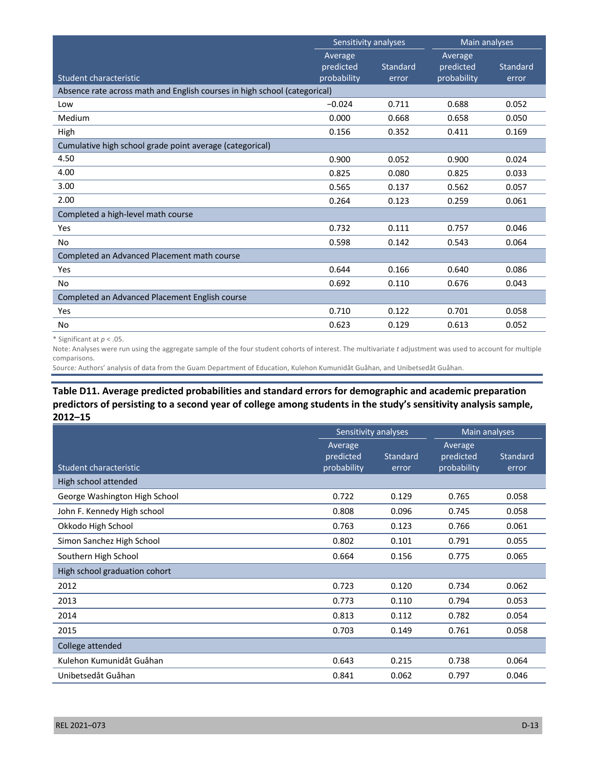|                                                                           | Sensitivity analyses                |                   | Main analyses                       |                   |
|---------------------------------------------------------------------------|-------------------------------------|-------------------|-------------------------------------|-------------------|
| Student characteristic                                                    | Average<br>predicted<br>probability | Standard<br>error | Average<br>predicted<br>probability | Standard<br>error |
| Absence rate across math and English courses in high school (categorical) |                                     |                   |                                     |                   |
| Low                                                                       | $-0.024$                            | 0.711             | 0.688                               | 0.052             |
| Medium                                                                    | 0.000                               | 0.668             | 0.658                               | 0.050             |
| High                                                                      | 0.156                               | 0.352             | 0.411                               | 0.169             |
| Cumulative high school grade point average (categorical)                  |                                     |                   |                                     |                   |
| 4.50                                                                      | 0.900                               | 0.052             | 0.900                               | 0.024             |
| 4.00                                                                      | 0.825                               | 0.080             | 0.825                               | 0.033             |
| 3.00                                                                      | 0.565                               | 0.137             | 0.562                               | 0.057             |
| 2.00                                                                      | 0.264                               | 0.123             | 0.259                               | 0.061             |
| Completed a high-level math course                                        |                                     |                   |                                     |                   |
| Yes                                                                       | 0.732                               | 0.111             | 0.757                               | 0.046             |
| No                                                                        | 0.598                               | 0.142             | 0.543                               | 0.064             |
| Completed an Advanced Placement math course                               |                                     |                   |                                     |                   |
| Yes                                                                       | 0.644                               | 0.166             | 0.640                               | 0.086             |
| <b>No</b>                                                                 | 0.692                               | 0.110             | 0.676                               | 0.043             |
| Completed an Advanced Placement English course                            |                                     |                   |                                     |                   |
| Yes                                                                       | 0.710                               | 0.122             | 0.701                               | 0.058             |
| No                                                                        | 0.623                               | 0.129             | 0.613                               | 0.052             |

\* Significant at *p* < .05.

Note: Analyses were run using the aggregate sample of the four student cohorts of interest. The multivariate *t* adjustment was used to account for multiple comparisons.

Source*:* Authors' analysis of data from the Guam Department of Education, Kulehon Kumunidåt Guåhan, and Unibetsedåt Guåhan.

## **Table D11. Average predicted probabilities and standard errors for demographic and academic preparation predictors of persisting to a second year of college among students in the study's sensitivity analysis sample, 2012–15**

|                               | Sensitivity analyses                |                   | Main analyses                       |                   |
|-------------------------------|-------------------------------------|-------------------|-------------------------------------|-------------------|
| Student characteristic        | Average<br>predicted<br>probability | Standard<br>error | Average<br>predicted<br>probability | Standard<br>error |
| High school attended          |                                     |                   |                                     |                   |
| George Washington High School | 0.722                               | 0.129             | 0.765                               | 0.058             |
| John F. Kennedy High school   | 0.808                               | 0.096             | 0.745                               | 0.058             |
| Okkodo High School            | 0.763                               | 0.123             | 0.766                               | 0.061             |
| Simon Sanchez High School     | 0.802                               | 0.101             | 0.791                               | 0.055             |
| Southern High School          | 0.664                               | 0.156             | 0.775                               | 0.065             |
| High school graduation cohort |                                     |                   |                                     |                   |
| 2012                          | 0.723                               | 0.120             | 0.734                               | 0.062             |
| 2013                          | 0.773                               | 0.110             | 0.794                               | 0.053             |
| 2014                          | 0.813                               | 0.112             | 0.782                               | 0.054             |
| 2015                          | 0.703                               | 0.149             | 0.761                               | 0.058             |
| College attended              |                                     |                   |                                     |                   |
| Kulehon Kumunidåt Guåhan      | 0.643                               | 0.215             | 0.738                               | 0.064             |
| Unibetsedåt Guåhan            | 0.841                               | 0.062             | 0.797                               | 0.046             |